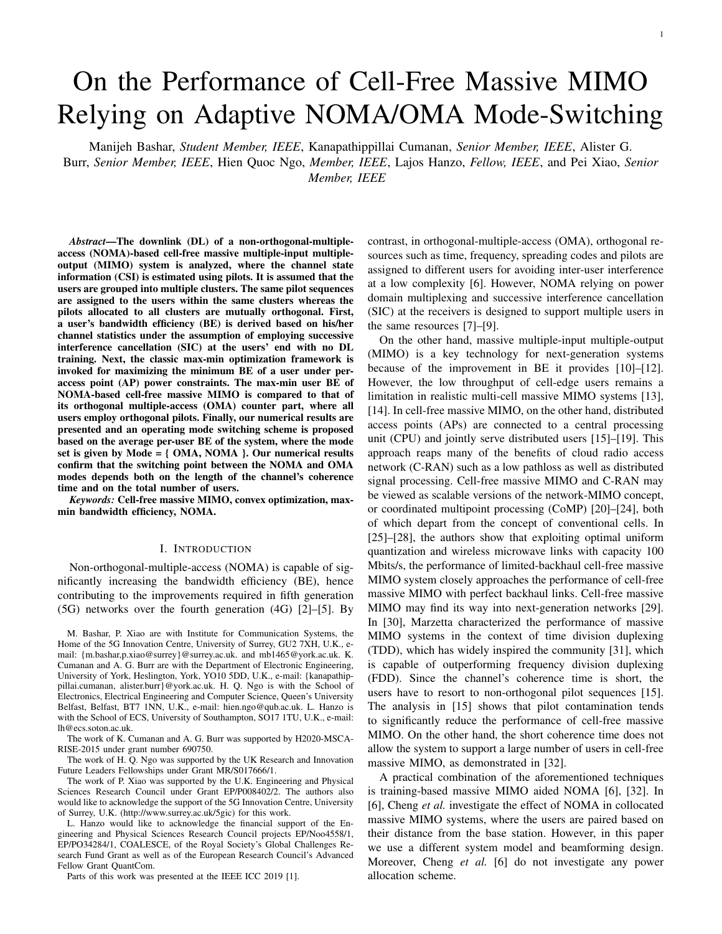# On the Performance of Cell-Free Massive MIMO Relying on Adaptive NOMA/OMA Mode-Switching

Manijeh Bashar, *Student Member, IEEE*, Kanapathippillai Cumanan, *Senior Member, IEEE*, Alister G. Burr, *Senior Member, IEEE*, Hien Quoc Ngo, *Member, IEEE*, Lajos Hanzo, *Fellow, IEEE*, and Pei Xiao, *Senior Member, IEEE*

*Abstract*—The downlink (DL) of a non-orthogonal-multipleaccess (NOMA)-based cell-free massive multiple-input multipleoutput (MIMO) system is analyzed, where the channel state information (CSI) is estimated using pilots. It is assumed that the users are grouped into multiple clusters. The same pilot sequences are assigned to the users within the same clusters whereas the pilots allocated to all clusters are mutually orthogonal. First, a user's bandwidth efficiency (BE) is derived based on his/her channel statistics under the assumption of employing successive interference cancellation (SIC) at the users' end with no DL training. Next, the classic max-min optimization framework is invoked for maximizing the minimum BE of a user under peraccess point (AP) power constraints. The max-min user BE of NOMA-based cell-free massive MIMO is compared to that of its orthogonal multiple-access (OMA) counter part, where all users employ orthogonal pilots. Finally, our numerical results are presented and an operating mode switching scheme is proposed based on the average per-user BE of the system, where the mode set is given by Mode = { OMA, NOMA }. Our numerical results confirm that the switching point between the NOMA and OMA modes depends both on the length of the channel's coherence time and on the total number of users.

*Keywords:* Cell-free massive MIMO, convex optimization, maxmin bandwidth efficiency, NOMA.

#### I. INTRODUCTION

Non-orthogonal-multiple-access (NOMA) is capable of significantly increasing the bandwidth efficiency (BE), hence contributing to the improvements required in fifth generation (5G) networks over the fourth generation (4G) [2]–[5]. By

M. Bashar, P. Xiao are with Institute for Communication Systems, the Home of the 5G Innovation Centre, University of Surrey, GU2 7XH, U.K., email: {m.bashar,p.xiao@surrey}@surrey.ac.uk. and mb1465@york.ac.uk. K. Cumanan and A. G. Burr are with the Department of Electronic Engineering, University of York, Heslington, York, YO10 5DD, U.K., e-mail: {kanapathippillai.cumanan, alister.burr}@york.ac.uk. H. Q. Ngo is with the School of Electronics, Electrical Engineering and Computer Science, Queen's University Belfast, Belfast, BT7 1NN, U.K., e-mail: hien.ngo@qub.ac.uk. L. Hanzo is with the School of ECS, University of Southampton, SO17 1TU, U.K., e-mail: lh@ecs.soton.ac.uk.

The work of K. Cumanan and A. G. Burr was supported by H2020-MSCA-RISE-2015 under grant number 690750.

The work of H. Q. Ngo was supported by the UK Research and Innovation Future Leaders Fellowships under Grant MR/S017666/1.

The work of P. Xiao was supported by the U.K. Engineering and Physical Sciences Research Council under Grant EP/P008402/2. The authors also would like to acknowledge the support of the 5G Innovation Centre, University of Surrey, U.K. (http://www.surrey.ac.uk/5gic) for this work.

L. Hanzo would like to acknowledge the financial support of the Engineering and Physical Sciences Research Council projects EP/Noo4558/1, EP/PO34284/1, COALESCE, of the Royal Society's Global Challenges Research Fund Grant as well as of the European Research Council's Advanced Fellow Grant QuantCom.

Parts of this work was presented at the IEEE ICC 2019 [1].

contrast, in orthogonal-multiple-access (OMA), orthogonal resources such as time, frequency, spreading codes and pilots are assigned to different users for avoiding inter-user interference at a low complexity [6]. However, NOMA relying on power domain multiplexing and successive interference cancellation (SIC) at the receivers is designed to support multiple users in the same resources [7]–[9].

On the other hand, massive multiple-input multiple-output (MIMO) is a key technology for next-generation systems because of the improvement in BE it provides [10]–[12]. However, the low throughput of cell-edge users remains a limitation in realistic multi-cell massive MIMO systems [13], [14]. In cell-free massive MIMO, on the other hand, distributed access points (APs) are connected to a central processing unit (CPU) and jointly serve distributed users [15]–[19]. This approach reaps many of the benefits of cloud radio access network (C-RAN) such as a low pathloss as well as distributed signal processing. Cell-free massive MIMO and C-RAN may be viewed as scalable versions of the network-MIMO concept, or coordinated multipoint processing (CoMP) [20]–[24], both of which depart from the concept of conventional cells. In [25]–[28], the authors show that exploiting optimal uniform quantization and wireless microwave links with capacity 100 Mbits/s, the performance of limited-backhaul cell-free massive MIMO system closely approaches the performance of cell-free massive MIMO with perfect backhaul links. Cell-free massive MIMO may find its way into next-generation networks [29]. In [30], Marzetta characterized the performance of massive MIMO systems in the context of time division duplexing (TDD), which has widely inspired the community [31], which is capable of outperforming frequency division duplexing (FDD). Since the channel's coherence time is short, the users have to resort to non-orthogonal pilot sequences [15]. The analysis in [15] shows that pilot contamination tends to significantly reduce the performance of cell-free massive MIMO. On the other hand, the short coherence time does not allow the system to support a large number of users in cell-free massive MIMO, as demonstrated in [32].

A practical combination of the aforementioned techniques is training-based massive MIMO aided NOMA [6], [32]. In [6], Cheng *et al.* investigate the effect of NOMA in collocated massive MIMO systems, where the users are paired based on their distance from the base station. However, in this paper we use a different system model and beamforming design. Moreover, Cheng *et al.* [6] do not investigate any power allocation scheme.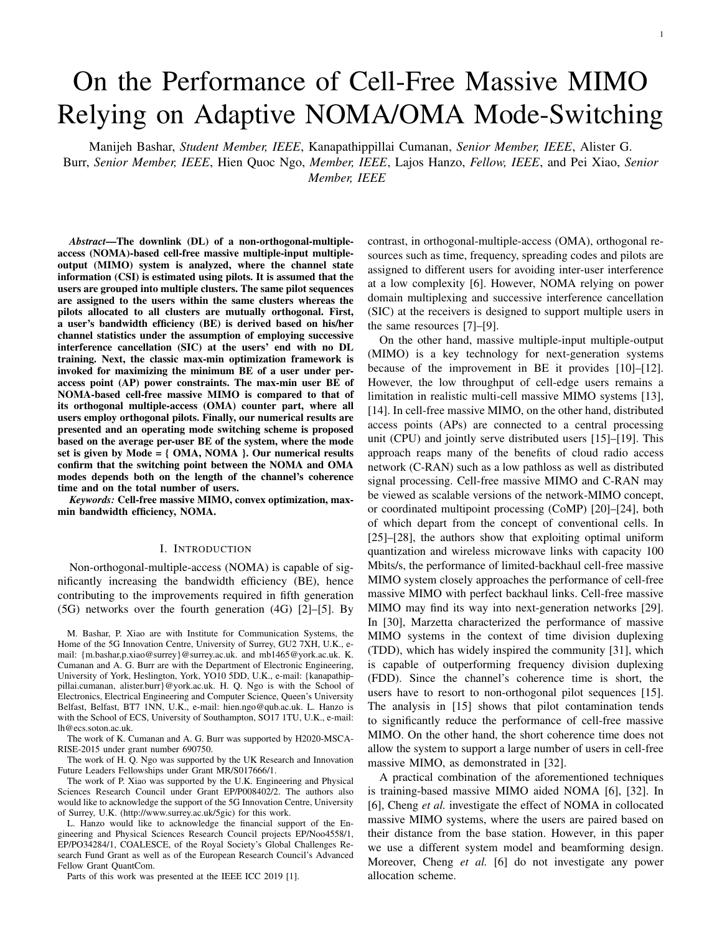The authors of [15], [29] indicate that conjugate beamforming does not need any channel state information (CSI) sharing between the APs. Hence, it is an attractive beamforming scheme for cell-free massive MIMO. Note that similar to [15], [33], we consider the per-AP power constraints. Moreover, in [34], [35], the authors investigate two different kinds of conjugate beamforming schemes operating under per-antenna power constraints: conjugate beamforming subject to longterm power constraints and normalized conjugate beamforming subject to short-term power constraints. Note that the average is taken over the codewords for long-term power constraints and channel fading coefficients, whereas the average is taken over the codewords in short-term power constraints for short-term power constraints [34], [35]. However, it is not clear, which form of conjugate beamforming and power constraint should be exploited in NOMA-based cellfree massive MIMO to achieve the best performance. Hence, it is important to investigate the effect of short-term and longterm per-antenna power constraints on the system performance [34], [35]. The max-min rate performance of OMA cell-free massive MIMO, relying on conjugate beamforming subject to long-term average power constraints is studied in [15], whereas the authors of [35] consider OMA cell-free massive MIMO, with normalized conjugate beamforming subject to short-term average power constraints. Note that the authors in [35] do not consider any optimization problem. Explicitly, we evaluate the performance of both conjugate beamforming and normalized conjugate beamforming in the NOMA-based cell-free massive MIMO system considered. The signal-tointerference-plus-noise ratio (SINR) formulas are derived for both beamforming designs.

In most practical scenarios, the OMA vs NOMA operating mode, is fixed. However, we achieve the best performance by adaptively switching between the Modes  $= \{OMA, NOMA\}.$ A mode switching scheme was proposed in [6], [36] for massive MIMO systems having collocated antennas. This mode switching is performed based on the statistics of the channel. In this paper, a downlink (DL) max-min BE problem is investigated. Fairness is defined as the equal opportunity for users to exploit the resources, which is an important aspect in next-generation systems. In [15], the authors have investigated the max–min SINR optimization problem in a cell-free massive MIMO system. Additionally, Li *et al.* [32] investigate the performance of NOMA-based cell-free massive MIMO system using the normalized conjugate beamforming proposed by Interdonato *et al.* [35]. Moreover, we conceive beneficial clustering schemes for NOMA-based cell-free massive MIMO systems. Explicitly, our clustering schemes are different from those of [37], [38], since no CSI is available at the APs and at the CPU. The numerical results reveal that with increasing the number of users in the cell-free massive MIMO system results in NOMA outperforms OMA. A similar conclusion has been made in [39] for collocated massive MIMO. Our numerical results will demonstrate that switching between different operating modes is capable of improving the overall system performance.

Our new contributions and results are summarized as follows:



Figure 1. A cell-free massive MIMO system with  $K_{tot}$  single-antenna users and M APs. Each AP is equipped with N antennas. The solid lines denote the DL channels and the dashed lines present the backhaul links from the APs to the CPU. The users are grouped into L clusters which are shown by dotted lines. Each cluster includes K users, and it is assumed  $K = 2$  here.

- 1. The closed-form SINR of the NOMA-based cell-free massive MIMO system is derived using both conjugate beamforming and normalized conjugate beamforming, taking into account the effects of pilot contamination and imperfect SIC.
- 2. A max-min fairness power control problem is formulated which maximizes the smallest of all user BEs under per-AP power constraints. Then a bisection scheme is conceived for optimally solving the optimization problem. The power minimization problem of conjugate beamforming is solved using second order cone programming (SOCP), whereas for the normalized conjugate beamforming standard semidefinite programming (SDP) is utilized.
- 3. The complexity analysis of proposed schemes is presented.
- 4. A mode switching technique is proposed based on the average BE, where we define the mode set as Mode  $=$ {OMA, NOMA}. Then simulation results are provided for validating the superiority of NOMA over OMA in terms of the max-min BE of cell-free massive MIMO. Finally, the performance of the proposed clustering schemes is quantified.

*Outline:* The rest of the paper is organized as follows. Section II describes the system model, while Section III provides our performance analysis. The proposed max-min BE is presented in Section IV. Followed by our complexity analysis in Section V. Finally, Section VI provides numerical results, while Section VII concludes the paper.

# II. SYSTEM MODEL

We consider DL transmission in a NOMA-based cell-free massive MIMO system with *M* APs and  $K_{tot}$  single-antenna users randomly distributed in a large area. The users are grouped into *L* clusters, supporting *K* users. Hence, we have  $K_{\text{tot}} = KL$ . Furthermore, each AP has *N* DL transmit antennas. The channel coefficient vector  $g_{m1k}$  2 C<sup>N</sup><sup>1</sup>, between the *m*th AP and the *k*th user in the *l*th cluster, is modeled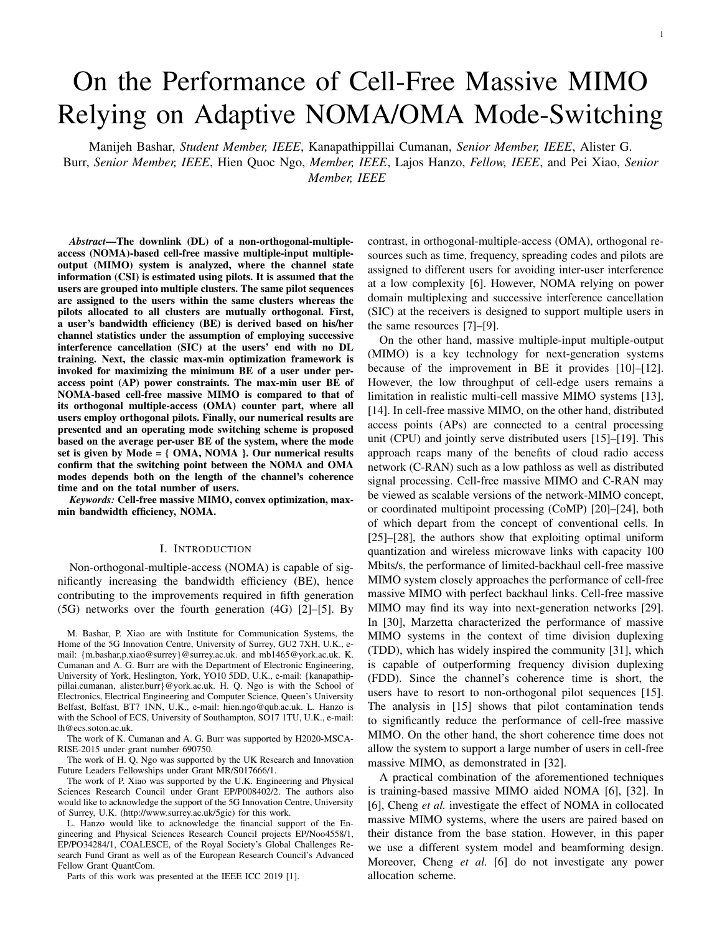as  $g_{m1k} = \frac{p_{m1k}}{m1k}h_{m1k}$ ; where  $m1k}$  denotes the large-scale fading. The elements of  $h_{m1k}$  are independent and identically fading. The elements of  $h_{m1k}$  are independent and identically distributed (i.i.d.)  $CN<sup>10</sup>$ ; 1<sup>°</sup> random variables, and represent the small-scale fading [15].

## *A. Uplink Channel Estimation*

All pilot sequences transmitted by all the  $K_{\text{tot}}$  users in the channel estimation phase are collected in a matrix **»** 11 K1 1L KL<sup>\|</sup> 2 C P K<sub>tot</sub>, where  $jj | k j^2 = 1$ , <sup>p</sup> is the length of the pilot sequence for each user and the  $k$ lth column,  $k$ <sub>l</sub>, represents the pilot sequence used for the *k*th user in the *l*th cluster. Moreover, it is assumed that the users in the same cluster employ the same pilot sequences  $(k) = \hat{i}$ ; 8*k*), whereas orthogonal pilots are assigned to different clusters. Note that in [15], the authors exploit unlink different clusters. Note that in [15], the authors exploit uplink pilots to estimate the channel of users. However, the authors of [6] claim that estimating a linear combination of the users' channel in the same cluster provides a better performance. Hence, an alternative technique of employing the uplink pilots in NOMA-based massive MIMO systme is to estimate the following linear combination [6]:

$$
\mathbf{f}_{ml} = \mathbf{g}_{mlk} \, \mathbf{g}_{ll} \tag{1}
$$

After performing a de-spreading operation, the minimum mean square error (MMSE) estimate of the linear combination **f**ml is given by

$$
\hat{\mathbf{f}}_{ml} = c_{ml} \quad \mathsf{P} \xrightarrow[p \ p \ p} \mathbf{g}_{mlk} + \mathbf{W}_{p;m} \hat{\mathbf{g}}_{l} ;
$$
\n(2)

where  $W_{p; m}$  2 C<sup>M K</sup> denotes the noise sequence at the *mth*<br>AP whose elements are i.i.d. CN10:1<sup>9</sup> and proposents the AP whose elements are i.i.d.  $CN<sup>10</sup>$ ; 1<sup>°</sup> and p represents the normalized signal-to-noise ratio (SNR) of each pilot sequence (which we define in Section VI). Hence, there is no pilot contamination between clusters. Moreover, the users in the same cluster employ the same pilot sequences, resulting  $H_{\text{R}} \neq 1$ . Additionally,  $c_{ml}$  is given by

$$
c_{\text{ml}} = \frac{p \frac{1}{p} \sum_{k=1}^{p} \frac{1}{k} (k-1)^{k}}{p \sum_{k=1}^{p} \frac{1}{k} (k-1)^{k}}.
$$
 (3)

Note that as in [15], we assume that the large-scale fading,  $m_{\rm lk}$ , is known both at the CPU and at the users. The estimated channels in (2) are then used by the APs for determining both the receiver filter coefficients and the power allocations.

#### *B. Downlink Transmission with Conjugate Beamforming*

In this subsection, we consider the DL data transmission relying on conjugate beamforming [15]. The signal transmitted from the *m*th AP is represented by

$$
\mathbf{x}_{m} = \frac{\rho - \mathbf{\tilde{O}}}{d} \mathbf{\tilde{O}} \sum_{l=1}^{m} \sum_{k=1}^{m} \hat{\mathbf{f}}_{ml} s_{lk};
$$
(4)

where  $s_{1k}$  (Efj $s_{1k}$  $j^2$ g = 1) and <sub>mlk</sub> denote the transmitted symbol and the transmit power at the *m*th AP, respectively. Furthermore,  $\sigma$  represents the maximum normalized transmit

power (normalized by the noise power *N*0, defined in Section VI) at the APs. Hence, the normalized transmit power is given by

$$
Efjj\mathbf{x}_{m}jj^{2}g = \mathbf{d}N
$$
  

$$
I=1 \text{ k=1}
$$

where

$$
mI = E \t \hat{f}_{ml} \t n \t \frac{2}{p} = \frac{p p I_{K^0 = 1}^{1} m I K^0}{p_{K^0 = 1} m I K^0 + 1}; \t (6)
$$

Moreover, note that  $_m = \frac{p}{p} p^{\dagger} \int_{k^0=1}^{R} m k^0 c_m$ . The power elements  $m_{\text{Ik}}$  are designed to satisfy the following power constraints:

$$
\begin{array}{c}\n\bullet \bullet \\
\bullet \quad \text{mlk ml} \\
\downarrow 1 \quad k=1\n\end{array} \qquad \frac{1}{N};\mathcal{B}m:\tag{7}
$$

The power constraints in (7) are referred to long-term power constraints, since the expectation is taken both over codewords and the channel fading coefficients [35].

# *C. Downlink Transmission with Normalized Conjugate Beamforming*

Next, we consider the DL data transmission relying on normalized conjugate beamforming [35]. Explicitly, the beamforming vectors are the conjugate of the estimated channels and they are normalized by their Euclidean norm. The signal transmitted from the *m*th AP is represented by

$$
\mathbf{x}_{m} = \frac{\rho - \mathbf{\tilde{\Theta}}}{d} \sum_{l=1}^{m} \frac{\hat{\mathbf{f}}_{ml}}{k-1} s_{lk};
$$
(8)

where mlk is the DL transmit power at the *m*th AP. The normalized transmit power is given by

$$
Efj|\mathbf{x}_{m}j|^{2}g = d \bigotimes_{l=1}^{m} m_{lk}:
$$
 (9)

Following the same strategy as in [35], the power elements mlk are designed to satisfy the following short-term power constraints:

$$
\widetilde{\bullet} \widetilde{\bullet} \qquad \qquad \underset{I=1 \ k=1}{\text{min}} \qquad \qquad 1; 8m. \tag{10}
$$

The power constraints in (10) are referred as short-term power constraints, since the expectation is taken only over the codewords [35].

## *D. Received Signal*

The signal received at the *k*th user in the *l*th cluster is given by

$$
r_{\rm lk}^{\rm B} = \bigotimes_{\rm m=1}^{\rm T} \mathbf{g}_{\rm m1k}^{\rm T} \mathbf{x}_{\rm m} + n_{\rm lk};
$$
 (11)

where  $n_{1k}$  CN <sup>1</sup>0; 1<sup>°</sup> is the noise at the *k*th user in the *l*th cluster, and the superscript B refers either to CB or NCB for the cases of conjugate and normalized conjugate beamforming techniques, respectively.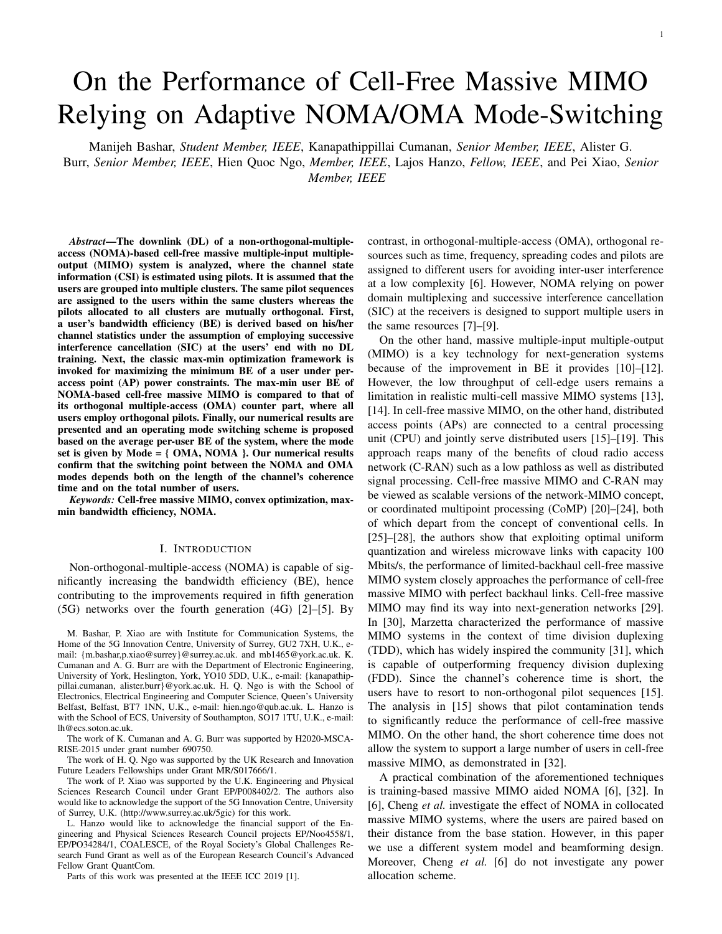# III. PERFORMANCE ANALYSIS

In this section, we derive the DL BE for the NOMA-based cell-free massive MIMO system without using any DL training by following a similar approach to [15]. In particular, it is assumed that no instantaneous CSI is available at the users, which is a reasonable assumption in massive MIMO systems thanks to the channel hardening phenomenon. Therefore, the users exploit the channel statistics instead of the instantaneous CSI to perform SIC. In the following subsections, we first highlight the basic concepts of NOMA in cell-free massive MIMO. Next, the attainable throughput is derived for the both conjugate and for the normalized conjugate beamforming techniques.

#### *A. NOMA without Downlink Training*

Again, we assume that the users exploit the channel statistics to decode data. Since there is no DL training, users rely on the average of the effective channel gain as an estimate of the channel gain [6]. We assume that in the *l*th cluster, "user-*l*1" is the strongest user (and hence can decode the signals intended to other users by using SIC technique) whereas "user-*lK*" is the weakest user and he can decode only his signal and not the other users' signals. In other words, NOMA is employed only within each cluster and not between the clusters. When the instantaneous CSI is available at the users, the users in each cluster can be ordered based on their effective channel gain. However, in the absence of DL training, we sort the users based on their channel statistics, which is discussed details in Sections III-B and III-C. In order to successfully implement the SIC at the stronger users to decode the weaker user signals, the following necessary NOMA condition should be satisfied [6], [40]:

**n log** 
$$
1 + \text{SINR}_{ij}^{lk}
$$
 **log**  $1 + \text{SINR}_{ik}^{lk}$   $3j < k$ ; 8*l*; (12)

where  $SINR_{ij}^{lk}$  refers to the effective SINR of user *j* in cluster *l* when user *j* in cluster *l* is decoding the signal intended for user *k* in the same cluster *l*. Based on this necessary condition, the achievable rate of the *k*th user in the *l*th cluster can be written as

$$
R_{1k}^{1k;final}
$$
  
= min E log<sub>2</sub> 1 + SINR<sub>1j</sub><sup>1k</sup> e **n**  
= min E log<sub>2</sub> 1 + SINR<sub>1j</sub><sup>1k</sup> e  $\frac{(13)}{8l;k}$ 

where  $R_{ik}^{k;final}$  is the achievable rate of user *k* in cluster *l*. Several clustering schemes are investigated in Section VI-B.

## *B. Conjugate Beamforming*

In this subsection, we derive the achievable SINR of the user with the aid of conjugate beamforming defined in (4). We use NOMA, in which the user having a higher received power detects its signal first, which is then demodulated and the corresponding signal is subtracted from the composite received signal, hence leaving behind the uninterfered signal of the lower-power user. Given the fact that only the statistics of the channels are available at the users' ends and exploiting the analysis in [6], the signal received by the *k*th user in the *l*th cluster is given by



where  $DS_{ik}$  and  $BU_{ik}$  denote the desired signal (DS) and beamforming uncertainty (BU) for the *k*th user in the *l*th cluster, respectively, and  $\text{IUI}_{\mathsf{lk}^0}$  represents the inter-userinterference (IUI) caused by the  $k^0$ <sup>th</sup> user in the *l*th cluster. Additionally,  $ISIC_{lk^0}$  accounts for the interference imposed by the  $k^{00}$ th to the *k*<sup>th</sup> user in the *l*<sup>th</sup> cluster due to imperfect SIC (ISIC), and  $\text{ICI}_{\psi\psi}$  is the inter-cluster-interference (ICI) caused by the users in clusters  $l^0$ , *l*. Moreover, the superscript CB in (14) refers to conjugate beamforming.

**Proposition 1.** *The terms DS*<sub>lk</sub>,  $BU_{\mathsf{lk}}$ , *IUI*<sub>lk<sup>0</sup></sub>, *ISIC*<sub>lk</sub><sup>0</sup>, and *ICI*<sup>l</sup> 0k <sup>0</sup> *are mutually uncorrelated.*

The achievable rate can be defined as  $R_{1k}^{CB} = log_2 11 +$  $SINR_{ik}^{CBo}$ . Based on the analysis in [12] and exploiting Proposition 1,  $SINR_{lk}^{CB}$  is given by (15). The closed-form expression for the achievable DL rate of the *k*th user in the *l*th cluster is given in the following theorems:

Theorem 1. *Having the channel statistics at the users and employing conjugate beamforming at the APs, the closed-form expression for the achievable DL rate of the kth user in the lth cluster is given by*  $R_{\rm lk}^{CB} = \log_2 11 + SINR_{\rm lk}^{CB}$ , where the SINR<sup>CB</sup> *is given by (16).*

*Proof:* Please refer to Appendix A.

Theorem 2. *Having the channel statistics at the users and employing conjugate beamforming at the APs, the closed-form*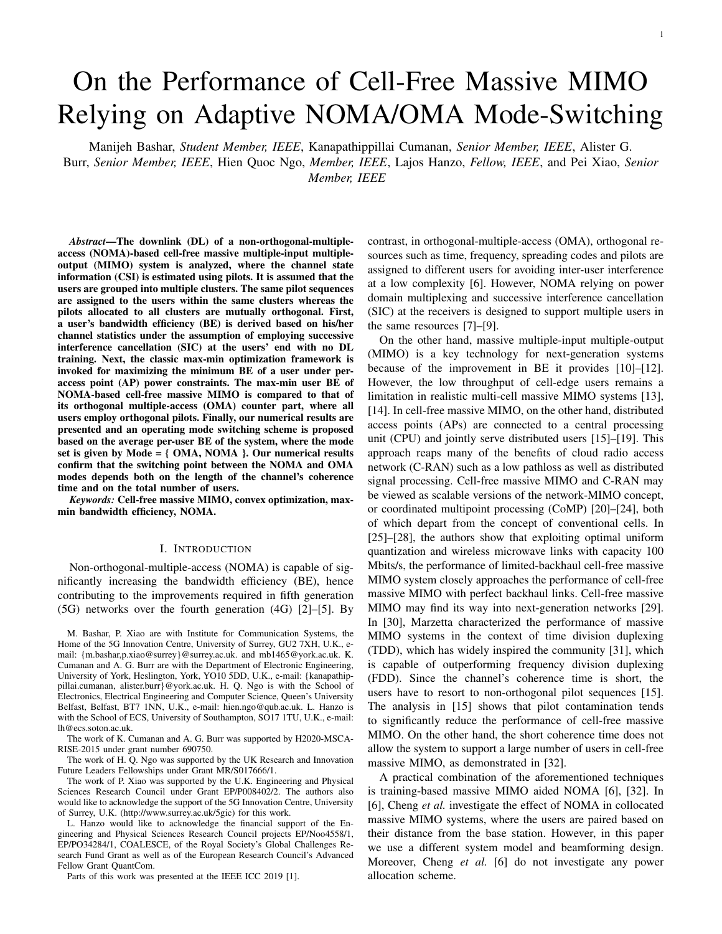$$
SINR_{lk} = \frac{jDS_{lk}j^2}{E jBU_{lk}j^2 + \frac{k}{k^0-1}E jIUI_{lk^0}j^2 + \frac{f}{k^0-k+1}E jISIC_{lk^0}j^2 + \frac{f}{k^0-1}E jICI_{l^0k^0}j^2 + 1}
$$
 (15)

$$
SINR_{1k}^{1k;CB} = \frac{N^2 \prod_{m=1}^{M} p_{m1k} \prod_{i=1}^{m1} m1k}{N^2 \prod_{k^0=1}^{k} p_{m1k} \prod_{i=1}^{m1} m1k} + N \prod_{j^0=1}^{k} \prod_{k^0=1}^{m1} m^{j^0k^0} m1k m1^0 + \frac{1}{d}
$$
(16)

$$
SINR_{1j}^{lk:CB} = \frac{N^2 \prod_{m=1}^{M} p \frac{1}{mlk} \frac{1}{K}}{N^2 \prod_{k^0=1}^{k} p \frac{1}{m}} \sum_{m=1}^{N^2} \frac{1}{N} \prod_{i=1}^{N} \prod_{m \text{ in } i}^{m} \frac{1}{N} \sum_{j=1}^{N^2} \frac{1}{N^2} \prod_{k^0=1}^{N^2} \prod_{m=1}^{m} \prod_{m \text{ in } i}^{m} \frac{1}{N^2 \prod_{k^0=1}^{k} (17)} \frac{1}{N^2 \prod_{k^0=1}^{k} (17)} \prod_{k^0=1}^{N^2} \prod_{k^0=1}^{N^2} \prod_{m=1}^{N^2} \prod_{m=1}^{N^2} \prod_{k^0=1}^{N^2} \prod_{m=1}^{N^2} \prod_{k^0=1}^{N^2} \prod_{k^0=1}^{N^2} \prod_{m=1}^{N^2} \prod_{k^0=1}^{N^2} \prod_{m=1}^{N^2} \prod_{k^0=1}^{N^2} \prod_{k^0=1}^{N^2} \prod_{k^0=1}^{N^2} \prod_{k^0=1}^{N^2} \prod_{k^0=1}^{N^2} \prod_{k^0=1}^{N^2} \prod_{k^0=1}^{N^2} \prod_{k^0=1}^{N^2} \prod_{k^0=1}^{N^2} \prod_{k^0=1}^{N^2} \prod_{k^0=1}^{N^2} \prod_{k^0=1}^{N^2} \prod_{k^0=1}^{N^2} \prod_{k^0=1}^{N^2} \prod_{k^0=1}^{N^2} \prod_{k^0=1}^{N^2} \prod_{k^0=1}^{N^2} \prod_{k^0=1}^{N^2} \prod_{k^0=1}^{N^2} \prod_{k^0=1}^{N^2} \prod_{k^0=1}^{N^2} \prod_{k^0=1}^{N^2} \prod_{k^0=1}^{N^2} \prod_{k^0=1}^{N^2} \prod_{k^0=1}^{N^2} \prod_{k^0=1}^{N^2} \prod_{k^0=1}^{N^2} \prod_{k^0=1}^{N
$$

*expression for the achievable DL rate of the kth user (weaker user) at the jth user (stronger user) in the lth cluster is given by*  $R_{ij}^{[k] \times CB} = \log_2 11 + \frac{SINR_{ij}^{[k] \times CB_0}{SINR_{ij}^{[k] \times CB}}}$  *is given by (17).*

*Proof:* Proof follows steps similar to the steps in Appendix A and is omitted due to the space limit.

*1) User Ordering:* By the assumption that users are ordered based on their channel quality, NOMA uses the power domain to transmit multiple signals over the same resource, and performs SIC at the receivers to decode the corresponding signals [9]. Considering the expression in (16), we take the term  $h_{1k}$  =  $\frac{f_{\frac{1}{K+1}}}{f_{\frac{1}{K+1}}}}$  1lk;  $\frac{f_{\frac{2l}{K+1}}}{f_{\frac{1}{K+1}}^{2l}}$  2lk  $\frac{f_{\frac{1}{K+1}}}{f_{\frac{1}{K+1}}^{2l}}$  MIk ; 8*l*; *k*, as the virtual channel of the *k*th user at the *l*th cluster. Next we sort the users based on the quality of this virtual channel, i.e., jj**h**<sup>vir</sup> jj<sup>2</sup> jj**h** vir l2  $\int_{\mathbb{R}} |j] p^{\text{vir}}(j) j^{\text{vir}}(k)$ ; ordering is a NB-hard combinatorial problem the optimal user ordering is a NP-hard combinatorial problem, which is beyond the scope of this work.

#### *C. Normalized Conjugate Beamforming*

In this section, we consider the achievable rate with normalized conjugate beamforming given in (8). Exploiting the NOMA scheme of Section III-A, the signal received for the *k*th user in the *l*th cluster using the normalized conjugate beamforming at the APs is given by



where the superscript NCB refers to normalized conjugate beamforming.

**Proposition 2.** *The terms DS*<sub>Ik</sub>,  $BU_{1k}$ ,  $IU_{1k^0}$ , *ISIC*<sub>Ik<sup> $\text{0}$ </sup>, and</sub> *ICI*<sup>l</sup> 0k <sup>0</sup> *are mutually uncorrelated.*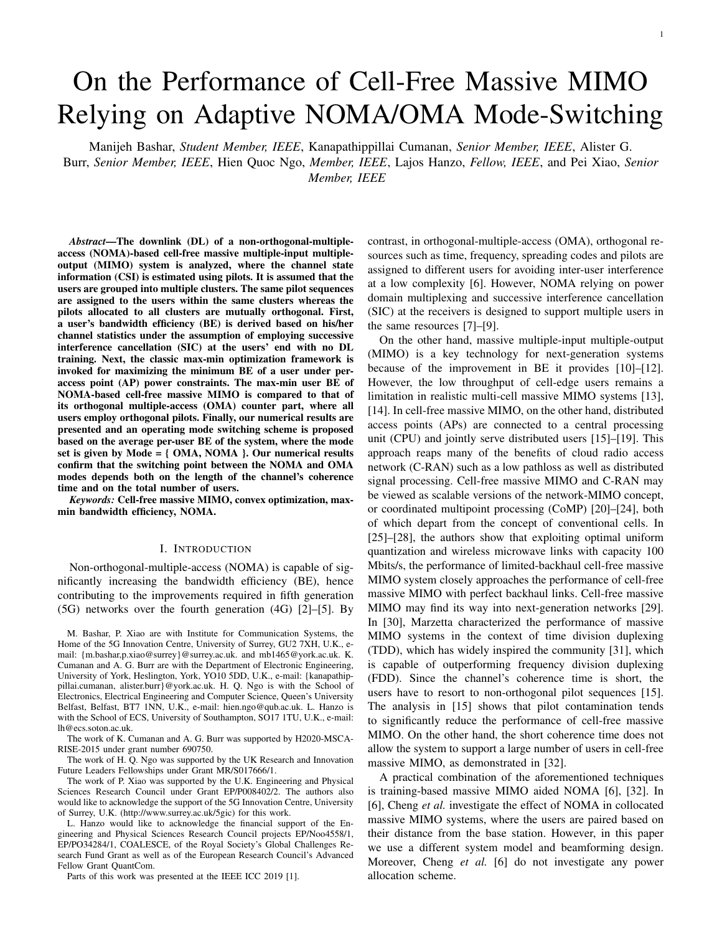$$
m1 = \frac{P - \frac{P}{N^{\frac{3}{2} + 1}} m11}{\frac{m12}{N} m11} m12^{\circ} + \frac{m12^{\frac{1}{1} + 1} m1k1 p p^{\circ}}{\frac{1}{N} m12 p p^{\frac{3}{2}}} + m11 N m11 p p^{\frac{3}{2} + 1} 2 m12 p p^{\frac{3}{2} + 1} m12 p^{\frac{3}{2} + 1} m11 m12^{\circ} m11 p^{\frac{3}{2} + 1} m12^{\circ} p^{\frac{3}{2} + 1} m12^{\circ} p^{\frac{3}{2} + 1} m12^{\circ} p^{\frac{3}{2} + 1} m12^{\circ} p^{\frac{3}{2} + 1} m12^{\circ} p^{\frac{3}{2} + 1} m12^{\circ} p^{\frac{3}{2} + 1} m12^{\circ} p^{\frac{3}{2} + 1} m12^{\circ} p^{\frac{3}{2} + 1} m12^{\circ} p^{\frac{3}{2} + 1} m12^{\circ} p^{\frac{3}{2} + 1} m12^{\circ} p^{\frac{3}{2} + 1} m12^{\circ} p^{\frac{3}{2} + 1} m12^{\circ} p^{\frac{3}{2} + 1} m12^{\circ} p^{\frac{3}{2} + 1} m12^{\circ} p^{\frac{3}{2} + 1} m12^{\circ} p^{\frac{3}{2} + 1} m12^{\circ} p^{\frac{3}{2} + 1} m12^{\circ} p^{\frac{3}{2} + 1} m12^{\circ} p^{\frac{3}{2} + 1} m12^{\circ} p^{\frac{3}{2} + 1} m12^{\circ} p^{\frac{3}{2} + 1} m12^{\circ} p^{\frac{3}{2} + 1} m12^{\circ} p^{\frac{3}{2} + 1} m12^{\circ} p^{\frac{3}{2} + 1} m12^{\circ} p^{\frac{3}{2} + 1} m12^{\circ} p^{\frac{3}{2} + 1} m12^{\circ} p^{\frac{3}{2} + 1} m12^{\circ} p^{\frac{3}{2} + 1} m12^{\circ} p^{\frac{3}{2} +
$$

The closed-form expression for the achievable DL rate of the *k*th user in the *l*th cluster is given in the following theorem:

Theorem 3. *Exploiting the channel statistics at the users and employing normalized conjugate beamforming at the APs, the closed-form expression for the achievable DL rate of the kth user in the lth cluster is given by*  $R_{\rm lk}^{NCB} = \log_2(1 + SINR_{\rm lk}^{NCB})$ , *where the SINR*<sup>NCB</sup> is given by:

$$
SINR_{1k}^{1k;NCB} = \frac{A_1}{1 + A_2 + A_3 + A_4 + A_6^{\circ} + NA_5 + \frac{1}{d}}; \quad (19)
$$

 $where = N^2$  <sub>p p</sub> and

$$
A_{1} = \frac{1}{2} \sum_{m=1}^{\infty} \frac{1}{2} = \frac{1}{2} \sum_{k^{0}, k} \frac{1}{2} = \frac{1}{2} \sum_{k^{0}, k} \frac{1}{2} = \frac{1}{2} \sum_{k^{0}, k} \frac{1}{2} = \frac{1}{2} \sum_{k^{0}, k} \frac{1}{2} = \frac{1}{2} \sum_{k^{0}, k} \frac{1}{2} = \frac{1}{2} \sum_{k^{0} = k + 1} \frac{1}{2} = \frac{1}{2} \sum_{k^{0} = k + 1} \frac{1}{2} = \frac{1}{2} \sum_{k^{0} = k + 1} \frac{1}{2} = \frac{1}{2} \sum_{k^{0} = k + 1} \frac{1}{2} = \frac{1}{2} \sum_{k^{0} = k + 1} \frac{1}{2} = \frac{1}{2} \sum_{k^{0} = k + 1} \frac{1}{2} = \frac{1}{2} \sum_{k^{0} = k + 1} \frac{1}{2} = \frac{1}{2} \sum_{k^{0} = k + 1} \frac{1}{2} = \frac{1}{2} \sum_{k^{0} = k + 1} \frac{1}{2} = \frac{1}{2} \sum_{k^{0} = k + 1} \frac{1}{2} = \frac{1}{2} \sum_{k^{0} = k + 1} \frac{1}{2} = \frac{1}{2} \sum_{k^{0} = k + 1} \frac{1}{2} = \frac{1}{2} \sum_{k^{0} = k + 1} \frac{1}{2} = \frac{1}{2} \sum_{k^{0} = k + 1} \frac{1}{2} = \frac{1}{2} \sum_{k^{0} = k + 1} \frac{1}{2} = \frac{1}{2} \sum_{k^{0} = k + 1} \frac{1}{2} = \frac{1}{2} \sum_{k^{0} = k + 1} \frac{1}{2} = \frac{1}{2} \sum_{k^{0} = k + 1} \frac{1}{2} = \frac{1}{2} \sum_{k^{0} = k + 1} \frac{1}{2} = \frac{1}{2} \sum_{k^{0} = k + 1} \frac{1}{2} = \frac{1}{2} \sum_{k^{0} = k + 1} \frac{1}{2} = \frac{1}{2} \sum_{k^{0} = k + 1
$$

*where the term* <sub>ml</sub> *is given by (21).* 

*Proof:* Please refer to Appendix B.

Theorem 4. *Having the channel statistics at the users and employing conjugate beamforming at the APs, the closed-form expression for the achievable DL rate of the kth user (weaker user) at the jth user (stronger user) in the lth cluster is given by*  $R_{lj}^{lk;NCB} = \log_2 11 + SINR_{lj}^{lk;NCB}$ , where the SIN $R_{lj}^{lk;NCB}$  is

$$
SINR_{1j}^{1k;NCB} = \frac{B_1}{1B_2 - B_3 - B_4 - B_5^\circ + NB_6 + \frac{1}{d}}; \quad (22)
$$

*where*

$$
B_{1} = \frac{1}{2} \sum_{m=1}^{\infty} \frac{1}{m} \sum_{m=1}^{\infty} B_{2} = \frac{1}{2} \sum_{k^{0}, k}^{\infty} \frac{1}{m} \sum_{m=1}^{\infty} B_{2}
$$
\n
$$
B_{3} = \frac{1}{2} \sum_{k^{0}, k}^{\infty} \frac{1}{m} \sum_{m=1}^{\infty} B_{4} = \frac{1}{2} \sum_{k^{0} = k + 1}^{\infty} \frac{1}{m} \sum_{m=1}^{\infty} B_{2}
$$
\n
$$
B_{5} = \frac{1}{2} \sum_{k^{0} = 1}^{\infty} \frac{1}{k^{0} - 1} \sum_{m=1}^{\infty} B_{2} = \frac{1}{2} \sum_{m=1}^{\infty} B_{2}
$$
\n
$$
B_{6} = \frac{1}{2} \sum_{m=1}^{\infty} B_{2} = \frac{1}{2} \sum_{m=1}^{\infty} B_{2}
$$
\n(23b)

*Proof:* Proof follows the steps similar to the steps in Appendix B and is omitted due to the space limit.

*1) User Ordering:* Using the SINR formula given in (22) and (23), we take the term  $h_{lk}^{\text{vir}} = \frac{h_{lk}}{1}$ 1l 2lk <u>lk</u> <u>Mik</u><br>21 Mi  $\frac{d\mathbf{k}}{dt}$ ; 8*l*; *k* as the virtual channel of the *k*th user at the *l*th cluster. Following this, we sort the users based on the quality of this virtual channel, i.e.,  $\int_{11}^{\pi} h_{11}^{\pi} f(x) dx$   $\int_{12}^{\pi} h_{12}^{\pi} f(x) dx$  $j$ j<sub>2</sub>;8*l*.

# *D. Bandwidth Efficiency*

Based on [11], the BE is measured in terms of bits/s/Hz sum-rate. In this paper, we consider the smallest BE of the users as the performance metric to characterise our cell-free massive MIMO system. The BE (in bit•s•Hz) of the *k*th user in the *l*th cluster can be defined by

$$
S_{lk}^{lk;final,B} = 1 - \frac{p}{c} \log_2 1 + SINR_{lk}^{lk;final,B} ; \qquad (24)
$$

where  $\epsilon$  denotes the number of samples for each coherence interval, and the superscript B refers either to CB or NCB for the cases of conjugate and normalized conjugate beamforming techniques, respectively. Finally, note that

$$
\text{SINR}_{1k}^{\text{lk};\text{final}} = \text{min} \quad \text{SINR}_{1j}^{\text{lk}}; \text{SINR}_{1k}^{\text{lk}}; \text{B}l; k; \tag{25}
$$

#### IV. MAX-MIN BANDWIDTH EFFICIENCY

In this section, we consider the max-min user BE problem in cell-free massive MIMO, where the minimum user DL BE is maximized, while satisfying per-AP power constraints. In the following subsections, we show that the max-min BE problem of both conjugate and normalized conjugate beamforming may be found by a bisection search method. Furthermore, it is shown that SOCP can be exploited for solving the power minimization problem in each iteration of the bisection search method for conjugate beamforming, while SDP for the normalized conjugate beamforming designs.

# *A. Max-Min BE with Conjugate Beamforming*

The max-min BE of conjugate beamforming is presented in this subsection. This problem under per-AP power constraints can be formulated as follows:

$$
P_1: \max_{m1k} \min_{\mathbf{K}:1=1} \min_{\mathbf{K}:1=1} S_{1k}^{\{k;final,CB} \tag{26a}
$$
  
s.t. 
$$
\mathbf{K} \min_{\mathbf{K}:1=1} \sum_{k=1}^{\mathbf{K}:1=1} S_{1k}^{\{k;final,CB} \tag{26b}
$$

$$
(26b)
$$

Since  $log<sup>1,0</sup>$  is a monotonically increasing function, Problem  $P_1$  can be re-written as Problem  $P_2$  as (27).

By defining new slack variables  $\mu$ ,  $\mu$ ,  $\phi$ <sub>lk<sup>0</sup>j</sub>, and  $\phi$ <sub>lk<sup>0</sup>k, boblem  $P_0$  can be re-formulated as (28) where  $\phi$ <sub>n</sub>,  $P_1$ </sub> Problem  $P_2$  can be re-formulated as (28), where  $\&_{m1k} = \frac{P_1}{P_1}$  $m$ lk  $\cdot$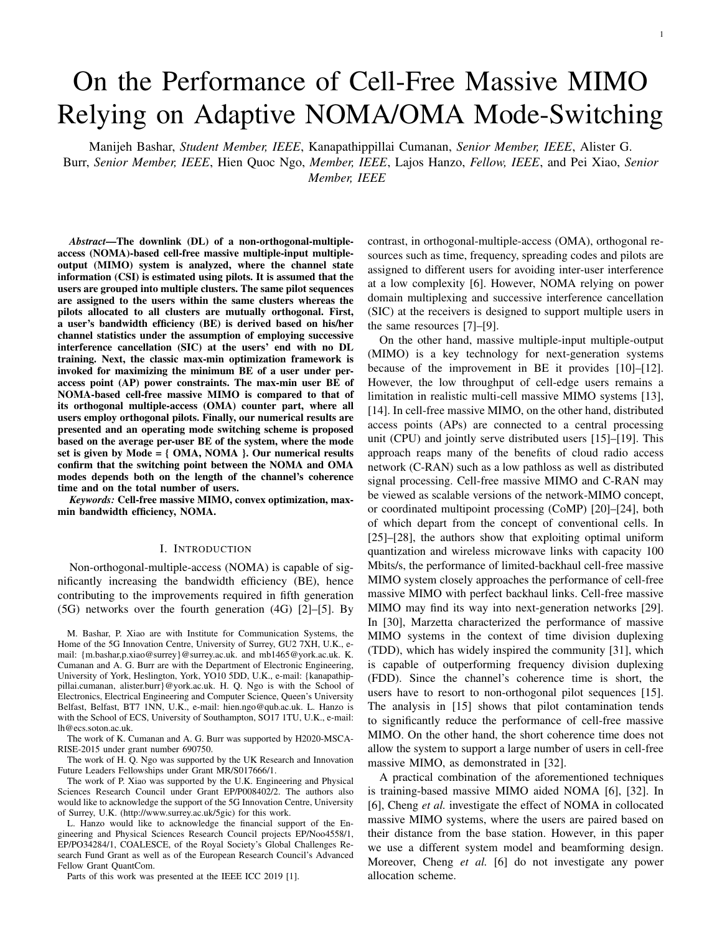$$
P_{2}: \max_{m1k} \min_{fk=1} \min_{K;1=1} \min_{L_{g}} \frac{SINR_{1k}^{1k;final,CB} = min \, SINR_{1k}^{1k;CB}; SINR_{1j}^{1k;CB} ; 8j < k
$$
\n
$$
= \min_{\substack{m1 \text{ odd} \\ m \geq 2}} \frac{N^{2} \prod_{m=1}^{K} \prod_{m1k} \frac{1}{K} \prod_{i=1}^{m1} \min_{m1j}}{N^{2} \prod_{m1k}^{K} \prod_{i=1}^{m1} \min_{m1j} + N \prod_{i=1}^{K} \prod_{i=1}^{K} \prod_{m1k}^{K} \prod_{i=1}^{m1} \min_{m1k} + \frac{1}{K}
$$
\n
$$
N^{2} \prod_{m=1}^{K} \prod_{m1k} \frac{1}{K} \prod_{i=1}^{m1} \min_{m1k} \prod_{i=1}^{K} \prod_{m1k}^{K} \prod_{m1k}^{K} \prod_{m2k}^{K} \prod_{m3k}^{K} \prod_{m4k}^{K} \prod_{m5k}^{K} \prod_{m7k}^{K} \prod_{m8k}^{K} \prod_{m1k}^{K} \prod_{m1k}^{K} \prod_{i=1}^{K} \prod_{m1k}^{K} \prod_{i=1}^{K} \prod_{m1k}^{K} \prod_{m1k}^{K} \prod_{m1k}^{K} \prod_{m1k}^{K} \prod_{m1k}^{K} \prod_{m1k}^{K} \prod_{m1k}^{K} \prod_{m1k}^{K} \prod_{m1k}^{K} \prod_{m1k}^{K} \prod_{m1k}^{K} \prod_{m1k}^{K} \prod_{m1k}^{K} \prod_{m1k}^{K} \prod_{m1k}^{K} \prod_{m1k}^{K} \prod_{m1k}^{K} \prod_{m1k}^{K} \prod_{m1k}^{K} \prod_{m1k}^{K} \prod_{m1k}^{K} \prod_{m1k}^{K} \prod_{m1k}^{K} \prod_{m1k}^{K} \prod_{m1k}^{K} \prod_{m1k}^{K} \prod_{m1k}^{K} \prod_{m1k}^{K} \prod_{m1k}^{K} \prod_{m1k}^{K} \
$$

$$
P_3: \max_{f\&_{m1k};\frac{w_{1k}\theta_j;\ m;\frac{w_{1k}\theta_j;\bar{m}g}{\pi}} t
$$
\n(28a)

$$
N^{2} \xrightarrow{\text{M}} \frac{M}{m-1} \& \frac{m! \, m!}{k} \frac{m! \, m!}{k! \, 1 \, m!} \qquad t; \, 8j < k; \tag{28b}
$$

$$
s.t. \quad
$$

$$
\begin{array}{ll}\n\overline{\mathbf{M}} & t; 8j < k; \\
N^{2} & \mathbf{M} & \mathbf{M} \\
\overline{\mathbf{M}}^{1} & \mathbf{M} & \mathbf{M} \\
\overline{\mathbf{M}}^{1} & \mathbf{M} & \mathbf{M} \\
\overline{\mathbf{M}}^{1} & \mathbf{M} & \mathbf{M} \\
\overline{\mathbf{M}}^{1} & \mathbf{M} & \mathbf{M} \\
\overline{\mathbf{M}}^{1} & \mathbf{M} & \mathbf{M} \\
\overline{\mathbf{M}}^{1} & \mathbf{M} & \mathbf{M} \\
\overline{\mathbf{M}}^{1} & \mathbf{M} & \mathbf{M} \\
\overline{\mathbf{M}}^{1} & \mathbf{M} & \mathbf{M} \\
\overline{\mathbf{M}}^{1} & \mathbf{M} & \mathbf{M} \\
\overline{\mathbf{M}}^{1} & \mathbf{M} & \mathbf{M} \\
\overline{\mathbf{M}}^{1} & \mathbf{M} & \mathbf{M} \\
\overline{\mathbf{M}}^{1} & \mathbf{M} & \mathbf{M} \\
\overline{\mathbf{M}}^{1} & \mathbf{M} & \mathbf{M} \\
\overline{\mathbf{M}}^{1} & \mathbf{M} & \mathbf{M} \\
\overline{\mathbf{M}}^{1} & \mathbf{M} & \mathbf{M} \\
\overline{\mathbf{M}}^{1} & \mathbf{M} & \mathbf{M} \\
\overline{\mathbf{M}}^{1} & \mathbf{M} & \mathbf{M} \\
\overline{\mathbf{M}}^{1} & \mathbf{M} & \mathbf{M} \\
\overline{\mathbf{M}}^{1} & \mathbf{M} & \mathbf{M} \\
\overline{\mathbf{M}}^{1} & \mathbf{M} & \mathbf{M} \\
\overline{\mathbf{M}}^{1} & \mathbf{M} & \mathbf{M} \\
\overline{\mathbf{M}}^{1} & \mathbf{M} & \mathbf{M} \\
\overline{\mathbf{M}}^{1} & \mathbf{M} & \mathbf{M} \\
\overline{\mathbf{M}}^{1} & \mathbf{M} & \mathbf{M} \\
\overline{\mathbf{M}}^{1} & \mathbf{M} & \mathbf{M} \\
\overline{\mathbf{M}}^{1} & \mathbf{M} & \mathbf{M} \\
\overline{\mathbf{M}}^{
$$

$$
\min_{\|v_{j}\|_{k^{0}=1}} \alpha_{m1^{0}k_{m1^{0}k^{0}}}^{2} + \min_{k^{0}=1} \alpha_{m1}^{2}k_{m1k^{0}}^{2} \qquad \frac{2}{m}, \quad 8m; 8j < k; \quad 0 \qquad m \qquad \frac{\Theta_{-}}{N}; \quad 8m; \tag{28c}
$$

$$
\sum_{m=1}^{\infty} \sum_{\substack{k=1 \ n \equiv 1 \ n \equiv 1}}^{\infty} \frac{m! \ m! j}{k!} \quad \frac{m!}{k!} \quad k \quad k \quad 1; 8j < k; \tag{28d}
$$

$$
N^{2} \begin{bmatrix} \mathbf{M} & \mathbf{m} & \mathbf{m} & \mathbf{m} \\ \frac{1}{2} & \mathbf{m} & \mathbf{m} & \mathbf{m} \\ \frac{1}{2} & \mathbf{m} & \mathbf{m} & \mathbf{m} \end{bmatrix}
$$

$$
N^{2}\sum_{k^{0}=1}^{1} \frac{1}{k^{0}}\sum_{n=1}^{\infty} N^{2}\sum_{m=1}^{1} m k^{2} \frac{1}{m^{2}} + \frac{1}{d}
$$
\n
$$
N^{2}\sum_{k^{0}=1}^{1} m k^{2} \frac{1}{m^{2}} + \frac{1}{d}
$$
\n
$$
N^{2}\sum_{k^{0}=1}^{1} m k^{2} \frac{1}{m^{2}} + \frac{1}{m^{2}} \sum_{k^{0}=1}^{1} m k^{2} \frac{1}{m^{2}} + \frac{1}{2m^{2}} \sum_{k^{0}=1}^{1} m k^{2} \frac{1}{m^{2}} + \frac{1}{2m^{2}} \sum_{k^{0}=1}^{1} m k^{2} \frac{1}{m^{2}} + \frac{1}{2m^{2}} \sum_{k^{0}=1}^{1} m k^{2} \frac{1}{m^{2}} + \frac{1}{2m^{2}} \sum_{k^{0}=1}^{1} m k^{2} \frac{1}{m^{2}} + \frac{1}{2m^{2}} \sum_{k^{0}=1}^{1} m k^{2} \frac{1}{m^{2}} + \frac{1}{2m^{2}} \sum_{k^{0}=1}^{1} m k^{2} \frac{1}{m^{2}} + \frac{1}{2m^{2}} \sum_{k^{0}=1}^{1} m k^{2} \frac{1}{m^{2}} + \frac{1}{2m^{2}} \sum_{k^{0}=1}^{1} m k^{2} \frac{1}{m^{2}} + \frac{1}{2m^{2}} \sum_{k^{0}=1}^{1} m k^{2} \frac{1}{m^{2}} + \frac{1}{2m^{2}} \sum_{k^{0}=1}^{1} m k^{2} \frac{1}{m^{2}} + \frac{1}{2m^{2}} \sum_{k^{0}=1}^{1} m k^{2} \frac{1}{m^{2}} + \frac{1}{2m^{2}} \sum_{k^{0}=1}^{1} m k^{2} \frac{1}{m^{2}} + \frac{1}{2m^{2}} \sum_{k^{0}=1}^{1} m k^{2} \frac{1}{m^{2}} + \frac{1}{2m^{2}} \sum_{k^{0}=1}^{1} m k^{2} \frac{1}{m^{2}} + \frac{1}{2m^{2}} \sum_{k^{0}=1}^{1} m k^{2} \frac{1}{m^{2}} + \frac{1}{2m^{2}} \sum
$$

$$
\frac{1}{1^0, 1k^0 = 1} \text{ m}^{10} \& \frac{2}{10} \text{ m}^{10} \& \frac{2}{10} \text{ m}^{10} \& \frac{2}{10} \text{ m}^{11} \& \frac{2}{10} \text{ m}^{12} \& \frac{2}{10} \text{ m}^{13} \& \frac{2}{10} \text{ m}^{14} \& \frac{2}{10} \text{ m}^{15} \& \frac{2}{10} \text{ m}^{16} \& \frac{1}{10} \text{ m}^{16} \& \frac{1}{10} \text{ m}^{16} \& \frac{1}{10} \text{ m}^{16} \& \frac{1}{10} \text{ m}^{16} \& \frac{1}{10} \text{ m}^{16} \& \frac{1}{10} \text{ m}^{16} \& \frac{1}{10} \text{ m}^{16} \& \frac{1}{10} \text{ m}^{16} \& \frac{1}{10} \text{ m}^{16} \& \frac{1}{10} \text{ m}^{16} \& \frac{1}{10} \text{ m}^{16} \& \frac{1}{10} \text{ m}^{16} \& \frac{1}{10} \text{ m}^{16} \& \frac{1}{10} \text{ m}^{16} \& \frac{1}{10} \text{ m}^{16} \& \frac{1}{10} \text{ m}^{16} \& \frac{1}{10} \text{ m}^{16} \& \frac{1}{10} \text{ m}^{16} \& \frac{1}{10} \text{ m}^{16} \& \frac{1}{10} \text{ m}^{16} \& \frac{1}{10} \text{ m}^{16} \& \frac{1}{10} \text{ m}^{16} \& \frac{1}{10} \text{ m}^{16} \& \frac{1}{10} \text{ m}^{16} \& \frac{1}{10} \text{ m}^{16} \& \frac{1}{10} \text{ m}^{16} \& \frac{1}{10} \text{ m}^{1
$$

$$
\sum_{m=1}^{\infty} \sum_{k=1}^{\infty} \frac{1}{k} m! \frac{1}{k} \sum_{i=1}^{\infty} \frac{1}{k} \frac{1}{k} \frac{1}{k} \frac{1}{k} \frac{1}{k} \frac{1}{k}
$$
 (28g)

$$
\&_{m1k} \quad 0; \quad 8m; 8l; 8k; \quad \bullet \quad \bullet \quad \frac{1}{N}; \quad 8m; \tag{28h}
$$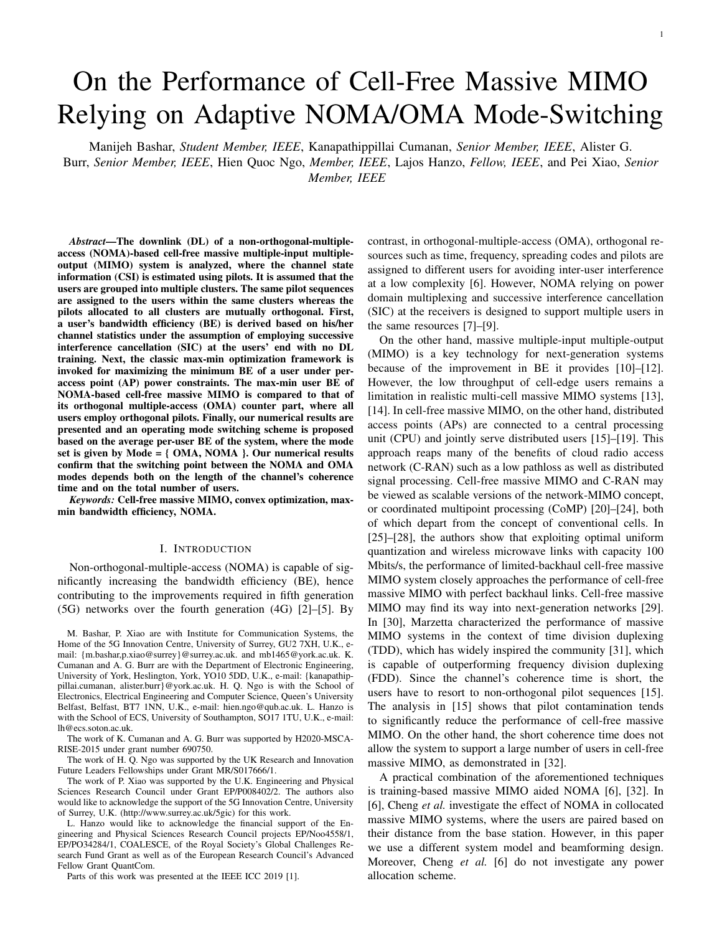$$
P_{4}: \min_{\{R_{m1k}: \mathcal{R}_{1k}\cup\{r\}} \text{ on } \mathcal{B}\}} \text{ and } \min_{m=1 \mid 0 \text{ s.t.}} \text{ mod } R_{m10}^{2}R_{m10}^{2}
$$
\n
$$
N^{2} \text{ J}_{m=1}^{M} \text{ A}_{m1k} \text{ J}_{K=1}^{m1} \text{ mi} \text{ J}_{2}
$$
\n
$$
N^{2} \text{ J}_{m=1}^{M} \text{ A}_{m1k} \text{ J}_{K=1}^{m1} \text{ mi} \text{ J}_{2}
$$
\n
$$
N^{2} \text{ J}_{m=1}^{M} \text{ A}_{m1k} \text{ J}_{K=1}^{m1} \text{ mi} \text{ J}_{2}
$$
\n
$$
N^{2} \text{ J}_{m=1}^{M} \text{ A}_{m1k} \text{ J}_{K=1}^{m1} \text{ mi} \text{ J}_{2}
$$
\n
$$
N^{2} \text{ J}_{m=1}^{M} \text{ A}_{m1k} \text{ J}_{K=1}^{m1} \text{ mi}
$$
\n
$$
N^{2} \text{ J}_{m=1}^{M} \text{ A}_{m1k} \text{ J}_{K=1}^{m1} \text{ mi}
$$
\n
$$
N^{2} \text{ J}_{m=1}^{M} \text{ A}_{m1k} \text{ J}_{K=1}^{m1} \text{ mi}
$$
\n
$$
N^{2} \text{ J}_{m=1}^{M} \text{ A}_{m1k} \text{ J}_{K=1}^{m1} \text{ mi}
$$
\n
$$
N^{2} \text{ J}_{m=1}^{M} \text{ A}_{m1k} \text{ J}_{K=1}^{m1} \text{ mi}
$$
\n
$$
N^{2} \text{ J}_{m=1}^{M} \text{ A}_{m1k} \text{ J}_{K=1}^{m1} \text{ mi}
$$
\n
$$
N^{2} \text{ J}_{M=1}^{M} \text{ A}_{m1k} \text{ J}_{K=1}^{m1} \text{ mi}
$$
\n
$$
N^{2} \text{ J}_{M=1}^{M} \text{ A}_{m1k} \text{ J}_{K=1}^{m1} \text{ mi}
$$
\n
$$
N^{2} \text{ J}_{M=
$$

$$
s.t. |jz_{1j}|
$$
\n
$$
s.t. |jz_{1j}|
$$
\n
$$
128c^{\circ} 128d^{\circ}128f^{\circ} 128h^{\circ}.
$$
\n(30b)

Note that this problem cannot be directly solved in its present form, rather a series of power minimization problems has to be solved with the same target rate for all users, where the corresponding target rate is updated in the next iteration according to the feasibility condition of the power minimization problem [41]. The feasibility of the following power minimization problem is examined for a given target SINR *t* at all users in each iteration of the bisection search (29).

Problem *P*<sup>4</sup> can be formulated as a standard SOCP. More precisely, for a given *t*, Problem *P*<sup>4</sup> can be reformulated as Problem  $P_5$  in 30), where  $\mathbf{z}_{1j}$ ,  $N\mathbf{v}_{1j}^T$ p  $\overline{N}$ **v**<sub> $1$ j;2</sub>  $\mathbf{p}^{\frac{1}{\alpha}}$  and  $V_{1j;1} = \%_{11j} \bullet \frac{\%_{1k} \t_1 \t_1}{\bullet} \frac{T}{D}$ ,  $V_{1j;2} = \frac{P}{\bullet} \frac{P}{i_T} \frac{T}{11j}$  1  $P - \frac{1}{\text{MI}j}$   $M^{\frac{1}{\text{M}}}$ ,  $\tilde{\mathbf{z}}_{lk}$  ,  $N\tilde{\mathbf{v}}_{lk;1}^{\mathsf{T}}$ p  $\overline{N}$ **v**<sub>Ik;2</sub>  $\overline{p}$   $\overline{d}$  is and  $\overline{v}_{1k;1}$  =  $\frac{1}{2}$   $\frac{1}{2}$   $\frac{1}{2}$   $\frac{1}{2}$   $\frac{1}{2}$   $\frac{1}{2}$   $\frac{1}{2}$   $\frac{1}{2}$   $\frac{1}{2}$   $\frac{1}{2}$   $\frac{1}{2}$   $\frac{1}{2}$   $\frac{1}{2}$   $\frac{1}{2}$   $\frac{1}{2}$   $\frac{1}{2}$   $\frac{1}{2}$   $\frac{1}{2}$   $\frac{1}{2}$   $\frac{1}{2}$   $\frac{1}{2}$   $\frac{1}{2}$  can be seen that (30) represents a second order cone (SOC) [41]. Hence, Problem  $P_5$  is a standard SOCP, which is a convex problem. The bisection search method imposed for maximizing the donwlink max-min SINR is exploited to find the optimal solution [41]. In this bisection search approach, first the upper and lower bounds of the achievable SINR are set to *t*max and *t*min, respectively and the initial target SINR *t* is chosen as  $^1t$ <sub>max</sub> +  $t$ <sub>min</sub><sup>o</sup>•2. If Problem  $P_5$  is feasible for a given target SINR *t*, then the lower bound *t*min will be set to *t* and a new target SINR is chosen as  $^1t$ <sub>max</sub> +  $t$ <sub>min</sub><sup>o</sup>•2 for the next iteration. This procedure is continued until the difference between the upper and the lower bounds becomes smaller than a predefined threshold . This bisection based search method based aided max-min DL BE scheme is summarized in Algorithm 1, which provides the optimal solution [41].

Algorithm 1 Bisection search method to solve Problem *P*<sup>1</sup>

1. Initialize *t*min, *t*max and

2. repeat

- **3.** Solve Problem  $P_5$ , with  $t = \frac{t_{\text{max}} + t_{\text{min}}}{2}$
- 4. if Problem  $P_5$  is feasible, then  $t_{\text{min}} = t$ <br>5. else,  $t_{\text{max}} = t$
- else,  $t_{\text{max}} = t$
- **6.** until  $^1t$ <sub>max</sub>  $t$ <sub>min</sub><sup>c</sup>

#### *B. Max-Min BE of Normalized Conjugate Beamforming*

This section investigates the max-min DL BE of normalized conjugate beamforming. The max-min DL BE problem can be formulated under per-AP power constraints as follows:

$$
P_6: \max_{m1k} \min_{\substack{f,k=1 \ K; l=1 \ Lg}} S_{1k}^{\lfloor k \rfloor \cdot \text{final}, NCB}
$$
(31a)  
s.t. 
$$
\sum_{l=1 \ k=1}^{k=1} \sum_{k=1}^{N} S_{1k}^{\lfloor k \rfloor \cdot \text{final}, NCB}
$$
(31b)

Problem  $P_6$  may also be expressed in an equivalent form as Problem  $P_7$  in (32). By introducing new slack variables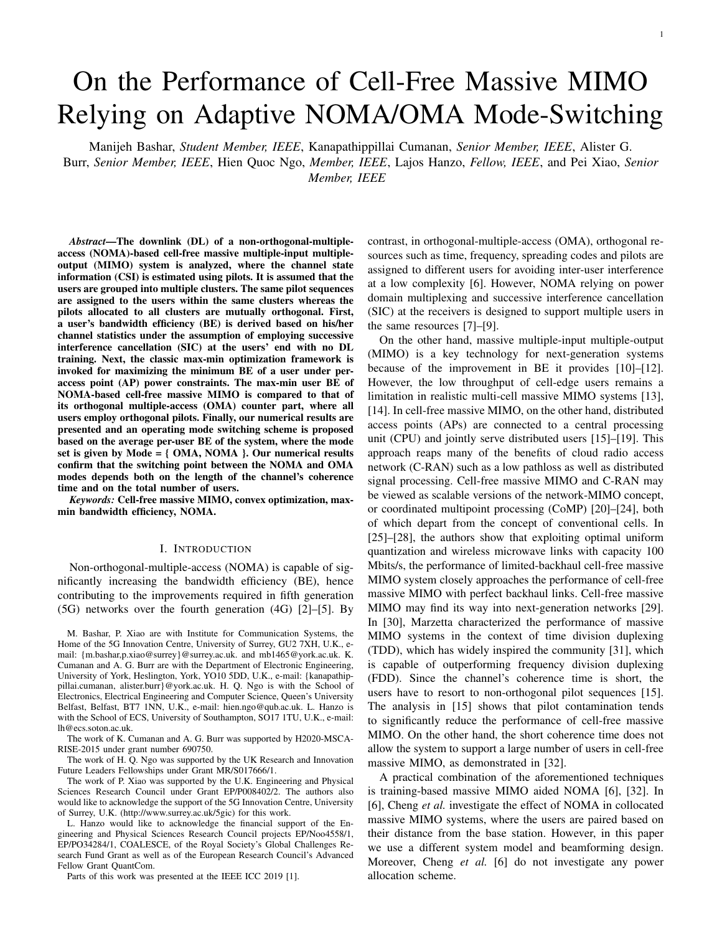| $P_7$ : $\max_{m1k}$    | $t$                     |                         |                         |                         |                         |                         |
|-------------------------|-------------------------|-------------------------|-------------------------|-------------------------|-------------------------|-------------------------|
| $\mathbf{f} \mathbf{w}$ | $\mathbf{f} \mathbf{w}$ | $\mathbf{f} \mathbf{w}$ | $\mathbf{f} \mathbf{w}$ |                         |                         |                         |
| $\mathbf{g} \mathbf{v}$ | $\mathbf{g} \mathbf{v}$ | $\mathbf{g} \mathbf{v}$ |                         |                         |                         |                         |
| $\mathbf{g} \mathbf{v}$ | $\mathbf{g} \mathbf{v}$ | $\mathbf{g} \mathbf{v}$ | $\mathbf{g} \mathbf{v}$ |                         |                         |                         |
| $\mathbf{g} \mathbf{v}$ | $\mathbf{g} \mathbf{v}$ | $\mathbf{g} \mathbf{v}$ | $\mathbf{g} \mathbf{v}$ | $\mathbf{g} \mathbf{v}$ | $\mathbf{g} \mathbf{v}$ |                         |
| $\mathbf{g} \mathbf{v}$ | $\mathbf{g} \mathbf{v}$ | $\mathbf{g} \mathbf{v}$ | $\mathbf{g} \mathbf{v}$ | $\mathbf{g} \mathbf{v}$ | $\mathbf{g} \mathbf{v}$ |                         |
| $\mathbf{g} \mathbf{v}$ | $\mathbf{g} \mathbf{v}$ | $\mathbf{g} \mathbf{v}$ | $\mathbf{g} \mathbf{v}$ | $\mathbf{g} \mathbf{v}$ | $\mathbf{g} \mathbf{v}$ | $\mathbf{g} \mathbf{v}$ |
| $\mathbf{g} \mathbf{v}$ | $\mathbf{g} \mathbf{v}$ | $\mathbf{g} \mathbf{v}$ | $\mathbf{g} \mathbf{v$  |                         |                         |                         |

$$
P_8: \max_{W_{\text{m1k}}} t \tag{33a}
$$

s.t. 
$$
\begin{array}{ccc}\n & \mathbf{w}_{1k}^{\mathsf{T}} & \mathbf{y}_{1k} \\
\hline\n & \mathbf{w}_{1k^{\mathsf{T}}}^{\mathsf{T}} & \mathbf{y}_{1k^{\mathsf{T}}}^{\mathsf{T}} \\
 & \mathbf{w}_{1k^{\mathsf{T}}}^{\mathsf{T}} & \mathbf{y}_{1k^{\mathsf{T}}}^{\mathsf{T}} \\
 & \mathbf{w}_{1k^{\mathsf{T}}}^{\mathsf{T}} & \mathbf{y}_{1k^{\mathsf{T}}}^{\mathsf{T}} \\
 & \mathbf{w}_{1k}^{\mathsf{T}} & \mathbf{y}_{1k^{\mathsf{T}}}^{\mathsf{T}} \\
 & \mathbf{w}_{1k}^{\mathsf{T}} & \mathbf{y}_{1k^{\mathsf{T}}}^{\mathsf{T}}\n\end{array}
$$
\n
$$
\begin{array}{ccc}\n & \mathbf{w}_{1k}^{\mathsf{T}} & \mathbf{w}_{1k} \\
\mathbf{w}_{1k}^{\mathsf{T}} & \mathbf{w}_{1k}^{\mathsf{T}} & \mathbf{w}_{1k}^{\mathsf{T}} & \mathbf{w}_{1k}^{\mathsf{T}} \\
\mathbf{w}_{1k}^{\mathsf{T}} & \mathbf{w}_{1k}^{\mathsf{T}} & \mathbf{w}_{1k}^{\mathsf{T}} & \mathbf{w}_{1k}^{\mathsf{T}}\n\end{array}
$$
\n
$$
\begin{array}{ccc}\n & \mathbf{w}_{1k}^{\mathsf{T}} & \mathbf{w}_{1k} \\
\mathbf{w}_{1k}^{\mathsf{T}} & \mathbf{w}_{1k}^{\mathsf{T}} & \mathbf{w}_{1k}^{\mathsf{T}} & \mathbf{w}_{1k}^{\mathsf{T}} \\
\mathbf{w}_{1k}^{\mathsf{T}} & \mathbf{w}_{1k}^{\mathsf{T}} & \mathbf{w}_{1k}^{\mathsf{T}} & \mathbf{w}_{1k}^{\mathsf{T}}\n\end{array}
$$
\n
$$
\begin{array}{ccc}\n & \mathbf{w}_{1k}^{\mathsf{T}} & \mathbf{w}_{1k} \\
\mathbf{w}_{1k}^{\mathsf{T}} & \mathbf{w}_{1k}^{\mathsf{T}} & \mathbf{w}_{1k}^{\mathsf{T}} & \mathbf{w}_{1k}^{\mathsf{T}} \\
\mathbf{w}_{1k}^{\mathsf{T}} & \mathbf{w}_{1k}^{\mathsf{T}} & \mathbf{w}_{1k}^{\mathsf{T
$$

$$
\begin{array}{ccccc}\n&\mathbf{w}_{1k}^{T}{}^{1} \text{ is } \mathbf{w}_{1k}^{R} \\
&\mathbf{w}_{1k^{0}}^{T} \text{ is } \mathbf{w}_{1k^{0}}^{T} \\
&\mathbf{w}_{1k^{0}}^{T} \text{ is } \mathbf{w}_{1k^{0}}^{T} \\
&\mathbf{w}_{1k^{0}}^{T} \text{ is } \mathbf{w}_{1k^{0}}^{T} \text{ is } \mathbf{w}_{1k^{0}}^{T} \mathbf{w}_{1k^{0}}^{T} + \mathbf{w}_{1k^{0}}^{T} \mathbf{B}_{1k} \mathbf{w}_{1k^{0}} \\
&\mathbf{w}_{1k}^{T} \mathbf{D}_{1k} \mathbf{w}_{1k}^{T} + \frac{1}{d} \\
&\mathbf{w}_{1k}^{T} \mathbf{w}_{1k^{0}}^{T} \mathbf{w}_{1k^{0}}^{T} \\
&\mathbf{w}_{1k}^{T} \mathbf{w}_{1k^{0}}^{T} + \frac{1}{d} \\
&\mathbf{w}_{1k}^{T} \mathbf{w}_{1k^{0}}^{T} \mathbf{w}_{1k^{0}}^{T} + \frac{1}{d} \\
&\mathbf{w}_{1k}^{T} \mathbf{w}_{1k^{0}}^{T} + \frac{1}{d} \\
&\mathbf{w}_{1k}^{T} \mathbf{w}_{1k^{0}}^{T} + \frac{1}{d} \\
&\mathbf{w}_{1k}^{T} \mathbf{w}_{1k^{0}}^{T} + \frac{1}{d} \\
&\mathbf{w}_{1k}^{T} \mathbf{w}_{1k^{0}}^{T} + \frac{1}{d} \\
&\mathbf{w}_{1k}^{T} \mathbf{w}_{1k^{0}}^{T} + \frac{1}{d} \\
&\mathbf{w}_{1k}^{T} \mathbf{w}_{1k^{0}}^{T} + \frac{1}{d} \\
&\mathbf{w}_{1k}^{T} \mathbf{w}_{1k^{0}}^{T} + \frac{1}{d} \\
&\mathbf{w}_{1k}^{T} \mathbf{w}_{1k^{0}}^{T} + \frac{1}{d} \\
&\mathbf{w}_{1k}^{T} \mathbf{w}_{1k^{0}}^{T} + \frac{1}{d} \\
&\mathbf{w}_{1k}^{T} \mathbf{w}_{1k^{0}}^{T} + \frac{1}{d} \\
&\mathbf{w}_{1k}^{T
$$

$$
\sum_{l=1}^{N} w_{m1k}^2 \quad 1; \ 8m; \ \ w_{m1k} \quad 0; \ \ 8m; 8l; 8k; \tag{33d}
$$

$$
W_{m1k} = \frac{p_{m1k}}{m}
$$
, we have Problem *P*<sub>8</sub>, defined in (33), where

$$
1j = j \quad \frac{T}{j}; \text{where} \quad j = \frac{11j}{11} \frac{21j}{21} \quad \frac{M1j}{M1} \quad (34a)
$$

$$
Ijk^{0} = \theta_{Ijk^{0}} \theta_{Ijk^{0}}^{T};
$$
 where  $\theta_{Ijk^{0}} = \frac{11j}{11} \frac{21j}{2!}$   $\frac{M1j}{M1}^{T};$  (34b)

$$
1jk^{0} = diag \frac{\frac{2}{11j} - \frac{2}{21j}}{\frac{2}{11} - \frac{2}{21}} = \frac{\frac{2}{11j}}{\frac{2}{11j}};
$$
 (34c)

$$
B_{1j} = diag_{11} 11k \t21j \tM1j \t4j \tM1k \t(34d)
$$
\n
$$
2 \t2 \t2 \t4 \t(34d)
$$
\n
$$
D_{1j} = \frac{11j \t21j}{21j} \tM1j \t(34e)
$$

$$
D_{1k} = \text{diag} \frac{11j}{2} \frac{21j}{2} \frac{M1j}{M1} ; \tag{34e}
$$

$$
1k = k
$$
  $\frac{T}{k}$ , where  $k = \frac{11k}{11} \frac{21k}{21}$   $\frac{M1k}{M1}$   $\frac{T}{k}$  (34f)

$$
I_{kk^0} = \theta_{Ikk^0} \theta_{Ikk^0}^T, \text{ where } \theta_{Ikk^0} = \frac{11k}{11} \frac{21k}{21} \frac{M1k}{M1};
$$
\n(34g)

$$
11 \times k^0 = \text{diag} \begin{array}{ccc} 1 & 2 & 2 & 3 \ 2 & 2 & 2 & 4 \ \hline 11 & 21 & 2 & 4 \ 21 & 2 & 2 & 4 \ \hline 21 & 21 & 21 & 21 \ \end{array} \tag{34h}
$$

$$
B_{1k} = \text{diag} \frac{2}{\ln 1} \frac{2}{11} \frac{2}{11} \frac{2}{11} \frac{2}{111} \frac{2}{111} \frac{2}{111} \frac{2}{111} \frac{2}{111} \frac{2}{111} \frac{2}{111} \frac{2}{111} \frac{2}{111} \frac{2}{111} \frac{2}{111} \frac{2}{111} \frac{2}{111} \frac{2}{111} \frac{2}{111} \frac{2}{111} \frac{2}{111} \frac{2}{111} \frac{2}{111} \frac{2}{111} \frac{2}{111} \frac{2}{111} \frac{2}{111} \frac{2}{111} \frac{2}{111} \frac{2}{111} \frac{2}{111} \frac{2}{111} \frac{2}{111} \frac{2}{111} \frac{2}{111} \frac{2}{111} \frac{2}{111} \frac{2}{111} \frac{2}{111} \frac{2}{111} \frac{2}{111} \frac{2}{111} \frac{2}{111} \frac{2}{111} \frac{2}{111} \frac{2}{111} \frac{2}{111} \frac{2}{111} \frac{2}{111} \frac{2}{111} \frac{2}{111} \frac{2}{111} \frac{2}{111} \frac{2}{111} \frac{2}{111} \frac{2}{111} \frac{2}{111} \frac{2}{111} \frac{2}{111} \frac{2}{111} \frac{2}{111} \frac{2}{111} \frac{2}{111} \frac{2}{111} \frac{2}{111} \frac{2}{111} \frac{2}{111} \frac{2}{111} \frac{2}{111} \frac{2}{111} \frac{2}{111} \frac{2}{111} \frac{2}{111} \frac{2}{111} \frac{2}{111} \frac{2}{111} \frac{2}{111} \frac{2}{111} \frac{2}{111} \frac{2}{111} \frac{2}{111} \frac{2}{111} \frac{2}{111} \frac{
$$

$$
\mathbf{D}_{1k} = \text{diag} \begin{array}{ccc} \frac{2}{11k} & \frac{2}{21k} & \frac{2}{11k} \\ \frac{21}{11k} & \frac{21}{21} & \frac{2}{11k} \\ \frac{21}{11k} & \frac{21}{11k} & \frac{21}{11k} \end{array} \tag{34}
$$

Then the classic bisection search method can be used for finding the optimal solution of the original Problem  $P_8$  by iteratively solving the power minimization problem *P*<sup>9</sup> for a given target SINR *t* at all users. Problem *P*<sup>9</sup> is defined as *P*<sup>9</sup> in (35). Note that due to the negative terms in the denominator in (35a), Problem *P*<sup>9</sup> cannot be formulated as a standard SOCP, as it was in Problem  $P_5$ . However, in the following, we impose semidefinite relaxation (SDR) for solving this nonconvex problem [42]. First, we introduce the new variable  $W_{1k}$  =  $W_{1k}W_{1k}^{T}$ , which enables us to reformulate Problem  $P_9$  into a standard SDP using SDR. By utilising the identity  $W^{\mathsf{T}}$  **Rw** = Tr **Rww**  $\mathsf{T}$  = Tr > **RW**<sup> $\text{M}$ </sup>, Problem *P*<sub>9</sub> can be rewritten as *P*<sup>10</sup> in (36).

Note that again  $W_{1k}$  0 means that  $W_{1k}$  is a positive semidefinite matrix. By relaxing all rank-one constraints in Problem *P*10, we arrive at a standard SDP, which can be optimally solved by convex optimization software. In particular, if the solutions of  $P_{10}$  are rank-one matrices (i.e., rank» $W_{\vert k}$ <sup> $\parallel$ </sup> = 1; 8*l*; *k*), then it is the solution to *P*9. Otherwise, the randomization techniques of [42] can be utilised for determining a set of rank-one solutions. Using [42, Theorem 3.1], if *P*<sup>10</sup> is feasible, then it has at least one solution with rank» $W_{1k}$ <sup>'/</sup><sub>i</sub> = 1; 8*l*; *k*. The power allocation  $W_{1k}$  can be determined from a rank-one  $W_{1k}$  colution using  $W_{1k} = \frac{W_{1k}}{W_{1k}}$ determined from a rank-one  $W_{1k}$  solution using  $W_{1k} = \frac{W_{1k}}{1k}U_{1k}$ where  $\frac{1}{\kappa}$  and  $\mathbf{u}_{\mathsf{lk}}$  denote the maximum eigenvalue and the corresponding eigenvector of  $W_{1k}$ , respectively. This bisection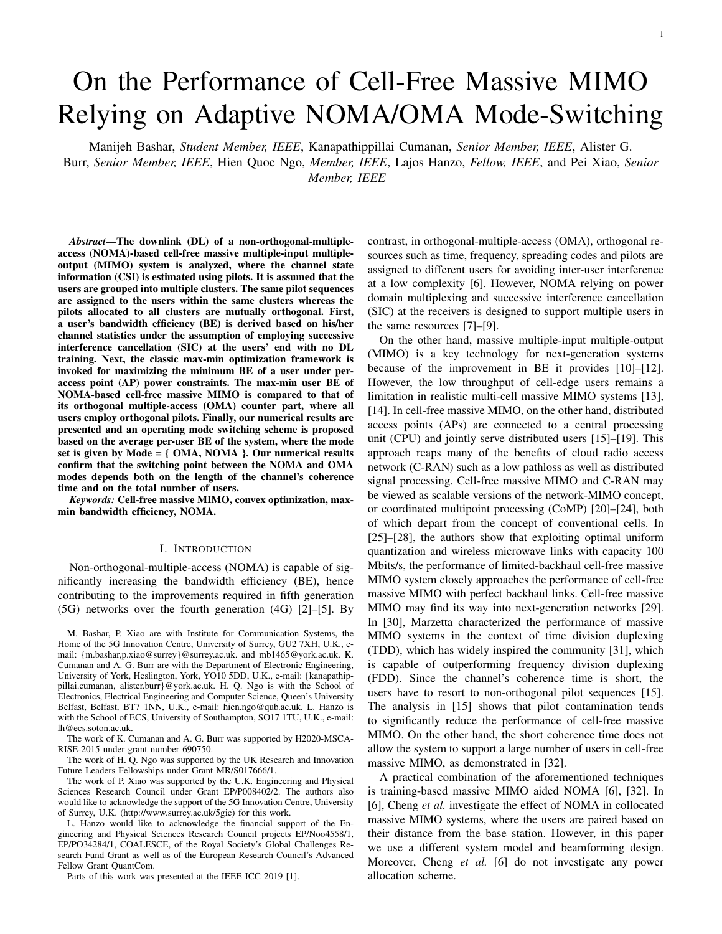$$
P_{9}: \min_{W_{m1k}} W_{l}^{\mathsf{T}} W_{l}^{\mathsf{T}} W_{lk} \qquad (35a)
$$
\ns.t. 
$$
\frac{\mathbf{w}_{l}^{\mathsf{T}}}{k_{l}^{\mathsf{U}}, k} \mathbf{w}_{l}^{\mathsf{T}} W_{lk}^{\mathsf{T}} W_{lk} \qquad W_{l}^{\mathsf{T}} W_{lk}^{\mathsf{T}} W_{lk} \qquad (35a)
$$
\n
$$
\frac{\mathbf{w}_{l}^{\mathsf{T}} \mathbf{w}_{l}^{\mathsf{T}} W_{lk}}{k_{l}^{\mathsf{U}}, k} \mathbf{w}_{l}^{\mathsf{T}} W_{lk}^{\mathsf{T}} W_{lk} \qquad \mathbf{w}_{l}^{\mathsf{T}} \mathbf{w}_{l}^{\mathsf{T}} W_{lk} \qquad W_{l}^{\mathsf{T}} \mathbf{w}_{l}^{\mathsf{T}} W_{lk}^{\mathsf{T}}}{t_{l}^{\mathsf{U}}, k} \mathbf{w}_{l}^{\mathsf{T}} \mathbf{w}_{l}^{\mathsf{T}} W_{lk} \qquad t_{l}^{\mathsf{U}}, k_{l}^{\mathsf{U}}, k_{l}^{\mathsf{U}}, k_{l}^{\mathsf{U}}, k_{l}^{\mathsf{U}}, k_{l}^{\mathsf{U}}, k_{l}^{\mathsf{U}}, k_{l}^{\mathsf{U}}, k_{l}^{\mathsf{U}}, k_{l}^{\mathsf{U}}, k_{l}^{\mathsf{U}}, k_{l}^{\mathsf{U}}, k_{l}^{\mathsf{U}}, k_{l}^{\mathsf{U}}, k_{l}^{\mathsf{U}}, k_{l}^{\mathsf{U}}, k_{l}^{\mathsf{U}}, k_{l}^{\mathsf{U}}, k_{l}^{\mathsf{U}}, k_{l}^{\mathsf{U}}, k_{l}^{\mathsf{U}}, k_{l}^{\mathsf{U}}, k_{l}^{\mathsf{U}}, k_{l}^{\mathsf{U}}, k_{l}^{\mathsf{U}}, k_{l}^{\mathsf{U}}, k_{l}^{\mathsf{U}}, k_{l}^{\mathsf{U}}, k_{l}^{\mathsf{U}}, k_{l}^{\mathsf{U}}, k_{l}^{\mathsf{U}}, k_{l}^{\mathsf{U}}, k_{l}^{\mathsf{U}}, k_{l}^{\mathsf{U}}, k_{l}^{\mathsf{U}}, k_{l}^{\mathsf{U}}, k_{l}^{\mathsf{U
$$



# Algorithm 2 Bisection search method to solve Problem *P*<sup>6</sup>

1. Initialize *t*min, *t*max and 2. repeat **3.** Solve Problem  $P_{10}$ , with  $t = \frac{t_{\text{max}} + t_{\text{min}}}{2}$ 4. if Problem  $P_{10}$  is feasible, then  $t_{\text{min}} = t$ 5. else,  $t_{\text{max}} = t$ **6.** until  $^1t$ <sub>max</sub>  $t$ <sub>min</sub> $^6$ 

method based on SDP is imposed for finding the optimal solution of Problem  $P_6$ . Based on the analysis in [41, Chapter 4], we set the threshold used for terminating Algorithms 1 and 2 to a small value. The iterative procedure of these algorithms is terminated, once the difference between the upper and lower bounds of the SINR becomes lower than the predefined threshold . In the simulations, we set  $= 0.0001$ , hence the difference between the optimal solution and the solution achieved by the proposed schemes is less than 0.0001.

## V. COMPLEXITY ANALYSIS

In this section, we provide the computational complexity analysis for the proposed schemes with conjugate beamforming and normalized conjugate beamforming.

## *A. Computational Complexity of Solving Problem P*<sup>1</sup>

The iterative bisection search method solves a SOCP at each iteration with  $O$   $n_v^2 n_c$  arithmetic operations, where  $n_v$  is the number of optimization variables and  $n_c$  refers to the total number of SOC constraints [43]. Moreover, note that the total number of iterations required is given by  $log_2$ <sup>1</sup>  $\frac{t_{max} - t_{min} \circ}{s}$  [41]. In Problem  $P_5$ , the total number of variables is  $n_v = LMK$ , and there are  $n_c = LK$  SOC constraints. Hence, the number of arithmetic operations required for for solving Problem *P*<sup>1</sup> is  $log_2^{\frac{1}{2} \frac{t_{\text{max}} - t_{\text{min}}}{\circ}}$  O  $M^2 L^3 K^3$ .

# *B. Computational Complexity of of Solving Problem P*<sup>6</sup>

The complexity of solving a SDP under  $n_c$  semidefinite constraints and a  $n_d$   $n_d$  dimensional semidefinite cone is  $O<sup>1</sup>n<sub>C</sub>n<sub>d</sub><sup>3</sup> + n<sub>C</sub><sup>2</sup>n<sub>d</sub><sup>2</sup> + n<sub>C</sub><sup>3</sup>$ <sup>o</sup> [44]. In Problem *P*<sub>10</sub>, we have *n*<sub>c</sub> = *LK*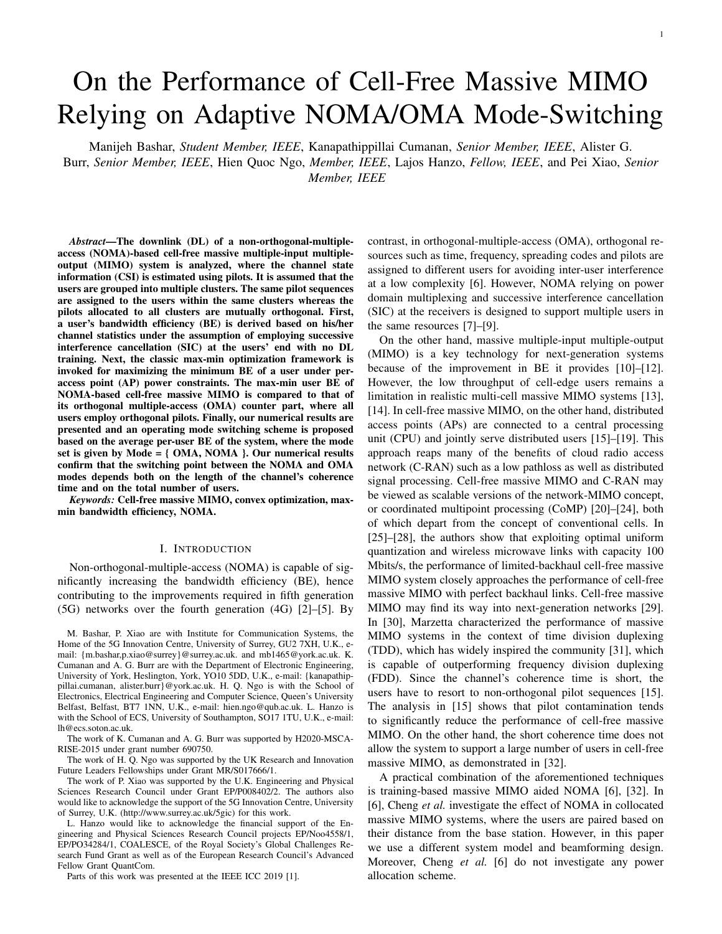semidefinite constraints and the dimension of the semidefinite cone is *M M* (i.e.,  $n_d = M$ ). The bisection search scheme solves a SDP at each iteration. Hence, based on [41], the computational complexity of solving Problem  $P_6$  is  $\log_2$ <sup>1</sup>  $\frac{\text{t}_{\text{max}} \cdot \text{t}_{\text{min}}}{2}$   $^{\circ}$  $LKM^3 + L^2K^2M^2 + 1LK^{03}$ .

#### VI. NUMERICAL RESULTS AND DISCUSSION

In this section, we provide numerical results to validate the performance of the proposed max-min rate scheme relying on different parameters. A cell-free massive MIMO system relying on  $M$  APs and  $K_{\text{tot}}$  single-antenna users is considered in a *D D* coverage area, where both APs and users are uniformly distributed at random. In the following subsections, we define the simulation parameters and then present the corresponding simulation results.

#### *A. Simulation Parameters*

The channel coefficients between users and APs are modelled in Section II, where the coefficient  $m/k$  is given by  $m_{\text{IR}} = PL_{\text{m1k}}10^{-\frac{\text{sh}^2\text{Z}_{\text{m1k}}}{10}}$ ; and  $PL_{\text{m1k}}$  is the path loss from the thus user in the *I*th cluster to the *m*th AP while the second term *k*th user in the *l*th cluster to the *m*th AP, while the second term  $10^{\frac{-\text{sh}^2 m1k}{10}}$  denotes the shadow fading with standard deviation  $s_h$  = 8 dB, and  $z_{m1k}$   $\bigvee$  10; 1<sup>o</sup> [15]. In the simulations, an uncorrelated shadowing model and a three-slope path loss model similar to [15] are considered. The noise power is given by  $p_n = BW$   $k_B$   $T_0$   $W$ ; where BW = 20 MHz denotes the bandwidth,  $k_B = 1:381$  10<sup>23</sup> represents the Boltzmann constant, and  $T_0 = 290$  (Kelvin) is the noise temperature. Moreover, the  $W = 9$ dB, and denotes the noise figure. It is assumed that  $\bar{p}_p$  and  $\bar{d}_q$  denote the power of the pilot sequence and of the DL data, respectively, where  $p = \frac{p}{p}$ *p*n and  $d = \frac{d}{d}$  $\frac{u}{p}$ . In our simulations, we set  $\bar{p} = 100$  mW and  $\bar{d}$  = 200 mW. Similar to [15], we assume that the simulation area is wrapped around at the edges, which can simulate an area without boundaries. Hence, the square simulation area has eight neighbours. We evaluate the max-min BE of the system over 200 random realizations of the locations of APs, users and shadow fading. Finally, note that after solving the max-min optimization problem, all users will achieve the same per-user throughput.

# *B. Clustering Schemes*

Since there are a large number of users in massive MIMO systems it is not practically feasible to simultaneously accommodate all users in a single cluster, while performing SIC at the users' ends [6], [36], [45]. Note that in [37], [38], [46], [47], the authors proposed to group the users into small clusters, where NOMA was employed within each cluster with the aid of SIC. To reduce the computational complexity introduced by SIC at the users' ends, the users can be divided into multiple clusters, and the NOMA principle can be employed within each clusters [4]. Based on [48], user pairing is a key technique in NOMA systems, which facilitates the practical implementation of NOMA for many users by reducing the complexity of SIC. Hence, following a similar approach to those in [4], [48], [49], we propose to pair the users into clusters. However, in contrast to [37], [38], the CSI is not available at the CPU and the receiver. Hence, it is not possible to exploit the user pairing schemes proposed in [37], [38]. The investigation of clustering algorithms with more than two users per cluster will be considered in our future work. Three different user pairing schemes are compared. Based on [37], the computational complexity of optimal clustering in the DL NOMA system is extremely high, and therefore not suitable for practical implementation in real-time systems. In [6], [32], the authors propose to pair the users based on their position. The clustering schemes proposed in this paper are different from those of [6], [32]. We propose three different clustering schemes as follows: 1) In the first scheme, the users who have the smallest distance from each other are paired. We continue to pair the closest users until all the users are grouped into clusters; 2) In the second scheme, the users who have the largest distance from each other, are paired. We continue to pair the farthest users until all the users are grouped into clusters; 3) Finally, we compare these schemes to the choice of randomly pairing the users.

## *C. Mode Selection*

For OMA, there is no pilot contamination thanks to the orthogonal pilots assigned to the users. However, the length of pilot sequences has to be equal to the total number of users  $\left(\begin{array}{cc} c & K_{\text{tot}} \end{array}\right)$ . But long pilot sequences leave less time for data transmission, hence reducing the overall throughput. On the other hand, in NOMA, the length of pilots only has to be equal to the number of clusters. Having two users per-cluster, we get  $K_{\text{tot}}$  • 2. Hence, compared to OMA, there is more time left for payload data transmission. Moreover, within each cluster, the user having a higher received signal power performs SIC, while the other users still suffers from some residual interuser interference. As a result, the system performance can be improved by switching between OMA and NOMA modes, depending both on the number of users and on the length of the channel's coherence time. The mode set is defined as Mode = {OMA, NOMA}. Then, the aim of the proposed design is to select the optimal mode maximizing the throughput of the system.

#### *D. Simulation Results*

In this subsection, we evaluate the performance of the proposed DL max-min BE schemes. First, to assess the performance, a NOMA-based cell-free massive MIMO system relying on 20 APs  $(M = 20)$  and supporting 100 users  $(K_{\text{tot}} = 100)$  is considered who are randomly distributed over the coverage area of size 1 1 km<sup>2</sup> and  $_c = 110$ . Fig. 2a presents the cumulative distribution of the achievable DL BE of both conjugate and of the normalized conjugate beamforming techniques, where the schemes proposed in Subsection IV-A and IV-B are used for determining the max-min bandwidth efficiency, respectively. As seen in Fig. 2a, in the NOMA scheme, random clustering has the better performance, while the scenario in which the far users are clustered has a performance as good as random clustering.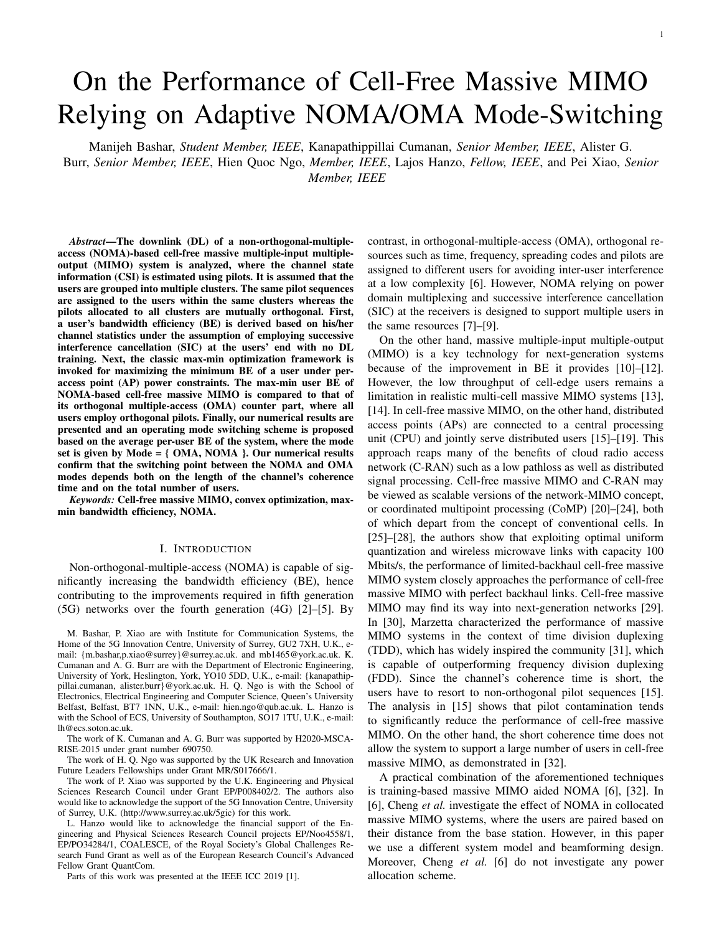

(a) The cumulative distribution of the per-user DL BE of cell-free massive (b) The average DL BE of cell-free massive MIMO versus coherence time MIMO with per-AP power constraints where CB and NCB refers to the (in symbols). We solve the max-min BE problems with per-AP power conjugate beamforming and normalized conjugate beamforming techniques. constraints. The simulation parameters are the same as Fig. 2a.

Figure 2. We set M = 20, N = 15, K = 2, K<sub>tot</sub> = 100, c = 110, D = 1 km,  $\bar{p}$  = 100 mW and  $\bar{p}$  = 200 mW.



(a) The cumulative distribution of the per-user DL BE of cell-free (b) The average DL BE of cell-free massive MIMO versus coherence time massive MIMO with per-AP power constraints where CB and NCB refers (in symbols). We solve the max-min BE problems with per-AP power to the conjugate beamforming and normalized conjugate beamforming constraints. The simulation parameters are the same as Fig. 3a. techniques.

Figure 3. We set M = 20, N = 15, K = 2, K<sub>tot</sub> = 140, c = 150, D = 1 km,  $p = 100$  mW and  $d = 200$  mW.

By contrast, the scenario supporting users that are clustered in each others proximity has poor performance. As the figure shows, the performance of conjugate beamforming is superior to that normalized conjugate beamforming. Moreover, NOMA outperforms OMA using conjugate beamforming, whereas the performance gap between NOMA and OMA with normalized conjugate beamforming is small. Given the above-mentioned parameters, as Fig. 2a demonstrates, NOMA-based cell-free massive MIMO provides a better performance than that of the system using OMA in terms of its per-user BE. Next, to investigate the effect of the channel's coherence time, the average BE of cell-free massive MIMO is plotted versus <sup>c</sup> in Fig. 2b, while the other system parameters are the same as those used in Fig. 2b. Based on the results of Fig. 2b, one could find an optimal mode switching point depending on the length of the channel's coherence time to maximize the system performance. As Fig. 2b shows by increasing the length of the channel's coherence time, OMA outperforms NOMA in terms of its user BE. Let us now assume that there are  $K_{\text{tot}} = 140$  users in the area and  $M = 20$  APs are uniformly distributed, where each AP has  $N = 15$  antennas with  $c = 150$ . The cumulative distribution of the achievable DL BE with conjugate beamforming and normalized conjugate beamforming is plotted in Fig. 3a. As the figure shows, the average DL BE of the cell-free massive MIMO system relying on conjugate beamforming is better than that of the system having normalized conjugate beamforming. Next, Fig. 3b quantifies the average BE (having solved the max-min bandwidth efficiency problems) versus the channel's coherence time c. As shown in Fig. 3b,  $c = 158$  is the mode switching point between OMA and NOMA for improving the throughput of conjugate beamforming, while for normalized conjugate beamforming  $c = 140$  is the mode switching point. As it is stated in Subsection VI-C, when the number of users is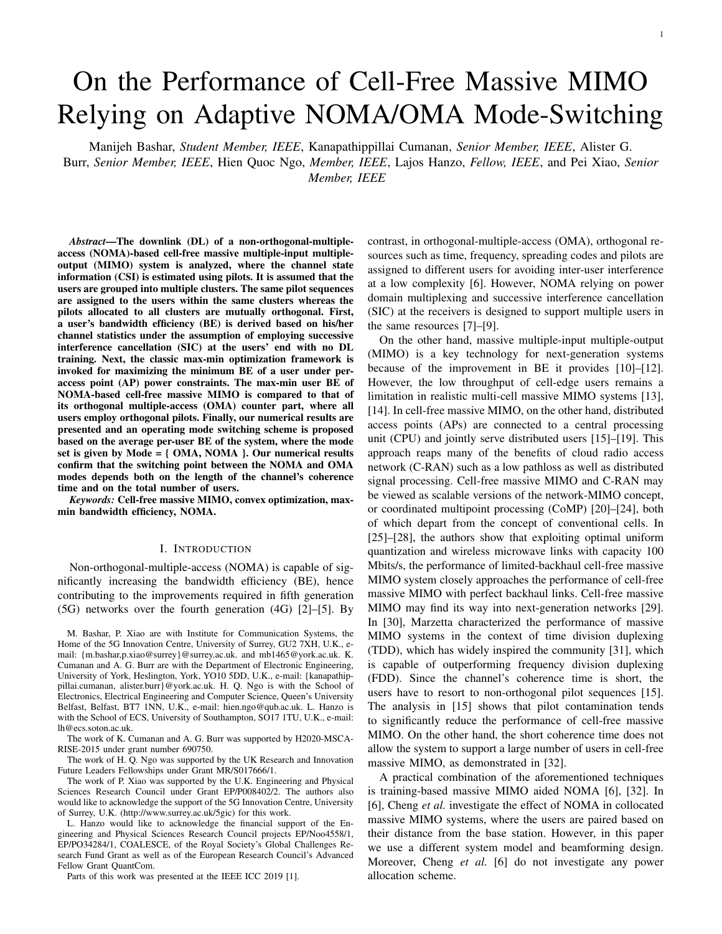

Figure 4. The average DL BE of cell-free massive MIMO versus coherence time (in symbols) with conjugate beamforming. We solve the max-min BE problems with per-AP power constraints. We set  $M = 60$ ,  $N = 5$ ,  $K = 2$ ,  $K_{\text{tot}} = 100$ , D = 1 km,  $p = 100$  mW and  $q = 200$  mW.



Figure 5. The average DL BE of cell-free massive MIMO versus total number of users in the area with conjugate beamforming. We solve the max-min BE problems with per-AP power constraints for two values of coherence time, i.e.,  $c = 150$  and  $c = 200$ . Note that for the NOMA scheme, we exploit random pairing approach. Moreover, we set  $M = 20$ ,  $N = 15$ ,  $K = 2$ ,  $D = 1$ km,  $p = 100$  mW and  $d = 200$  mW.

high, the time left for payload data transmission is short, hence resulting in low BE.

Next, we consider conjugate beamforming in conjunction with  $M = 60$  APs, each equipped with  $N = 5$  antennas, where there are  $K_{\text{tot}} = 100$  users in the area. Fig. 4 investigates the average BE to solve the max-min BE problem of conjugate beamforming. The mode switching point is  $c = 120$ .

We investigate the impact of the total number of users in the area on the system's performance. In Fig. 5, we consider conjugate beamforming having  $M = 20$ ,  $N = 15$ , and two different coherence times, namely  $c = 150$ ; 200. As indicated in the figure, the solid and dashed lines denote  $c = 200$  and  $c = 150$ , respectively. As Fig. 5 shows, by increasing the total number of users, the NOMA scheme outperforms the OMA scheme in terms of the average DL BE. Finally, we investigate the signal and interference power of both conjugate beamforming and of normalized conjugate beamforming. Based on the analysis in [35], and to draw a fair comparison,



Figure 6. CDF of DL signal power and DL interference power of cell-free massive MIMO for the OMA scheme with equal power allocation, i.e.,  $mk =$ mk  $N = \begin{bmatrix} N & R \\ k \end{bmatrix}$ <br>We set  $M = 20$  APs, each equipped with N = 15 antennas, where there are - and  $mk =$ 1  $\frac{1}{N}$ , for NCB and CB, respectively.  $K_{\text{tot}}$  = 100 users in the area. Moreover, note that D = 1 km,  $r_p$  = 100 mW and  $d = 200$  mW.

Algorithm 3 *Proposed Scheme for the Cell-free massive MIMO Operation*

1. *Initialize Ktot,* <sup>c</sup>*, N, M, D,* <sup>p</sup> *and* <sup>d</sup>*.*

2. *Solve the optimization Problems P*<sup>1</sup> *and P*<sup>6</sup> *using Algorithms 1 and 2.*

3. *Calculate the average DL BE of the system with optimal power elements obtained in Step 2 using (24).*

4. *Choose the optimal operating mode from the set Mode = { OMA, NOMA }, and define the operating region. An example of the operating region is provided in Fig. 7.*

5. *Set the optimal operational mode based on using the operating region.*

we set  $mk = \frac{mk}{k}$  $N$ **K**<sub>k<sup>0</sup>=1 mk<sup>0</sup></sub> and  $m_k = \frac{1}{\sqrt{k}}$  $N = K$ <sub>k<sup>0</sup>=1, mk<sup>0</sup></sub> for nor-

malized conjugate beamforming and conjugate beamforming, respectively. Fig. 6 shows the cumulative distribution function (CDF) of the signal and interference power in the DL of cellfree massive MIMO for the OMA scheme associated with  $M = 20$ ,  $N = 15$ ,  $K_{\text{tot}} = 100$ ,  $D = 1 \text{ km}$ ,  $\bar{p} = 100 \text{ mW}$  and  $\epsilon_d$  = 200 mW. As Fig. 6 demonstrates, the normalized conjugate beamforming introduces a similar interference power to that of the conjugate beamforming, however at a lower signal power. Furthermore, based on the results in Fig. 6, one could conclude that the signal power of cell-free massive MIMO is much higher than the interference power for both conjugate and normalized conjugate beamforming. This explains the performance gap between the systems using conjugate and normalized conjugate beamforming.

# *E. Proposed Off-line Method for Cell-free Massive MIMO to Achieve the Best System Performance*

Since there are many system parameters, we do not provide any analysis to determine the optimal mode switching point.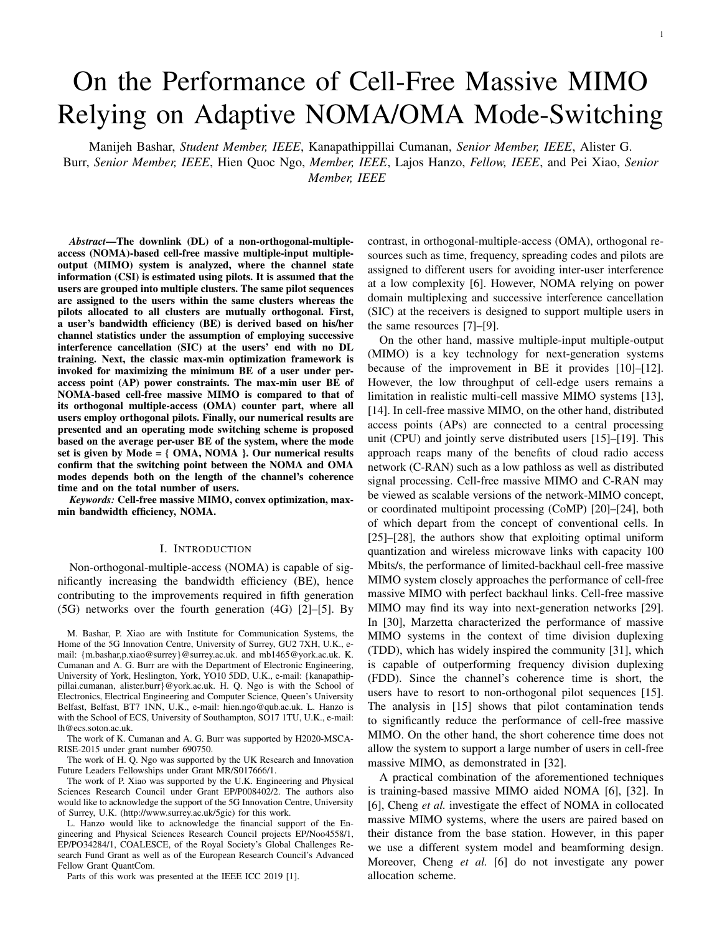|     |             | $K_{\text{tot}}^{\tau_c}$ 110 114 120 130 140 150 158 |  |  |                               | 160 170        |                |                | 180 190 196 200 |  |
|-----|-------------|-------------------------------------------------------|--|--|-------------------------------|----------------|----------------|----------------|-----------------|--|
| 180 | N           |                                                       |  |  |                               |                |                |                |                 |  |
| 140 | $\mathbf N$ |                                                       |  |  | N N N N N N N O O             | $\overline{0}$ | $\overline{O}$ | $\overline{O}$ | $\overline{0}$  |  |
| 100 |             |                                                       |  |  | $0 \mid 0 \mid 0 \mid 0 \mid$ | $O \square$    | <b>COMP</b>    | $O \mid$       |                 |  |

Figure 7. Operating region for different modes with different total number of users  $K_{tot}$  and coherence time c (in symbols). Here, we set  $M = 20$ ,  $N = 15$ ,  $D = 1 \text{ km}$ ,  $n = 100 \text{ mW}$  and  $n = 200 \text{ mW}$ . Note that the le  $\hat{p}_p = 100$  mW and  $\hat{d}_d = 200$  mW. Note that the letters N and O refer to Mode = NOMA and Mode = OMA, respectively. Moreover N=O refers to the case where both systems with the NOMA and OMA schemes show the same performance in terms of the system DL BE.

These parameters include: the number of users  $K_{\text{tot}}$  and APs *M*, the number of antennas per-AP *N*, the channel coherence time  $\epsilon$ , and the size of area *D*. It is set aside for future research to find the optimal switching point in terms of the above-mentioned parameters. The numerical results show that we require a high-flexibility system to switch between the NOMA and OMA modes, depending on the system parameters. Similar conclusions have been reached in [6], [36], where the authors indicated that a massive MIMO system having collocated antennas and switching between the OMA and NOMA operating modes has the best performance. Finding the optimal switching point between the OMA and NOMA modes was done based on off-line simulations in [6]. In bold contrast to [6], we propose an off-line algorithm to achieve the best performance in the context of cell-free massive MIMO systems. In the proposed scheme, we determine the average DL BE of the system for the given parameters and find the optimum operating region, which maximises the average DL BE from the set Mode  $=$  { OMA, NOMA }. Next, the operational mode is fixed for a given set of parameters. To provide an example, we present the operating region of the pair of different modes for different values of  $K_{\text{tot}}$  as well as  $\epsilon$  and for fixed values of *M*, *N*, and *D* in Fig. 7, where the symbols N and O refer to the NOMA and OMA mode, respectively. Moreover, N=O represents the scenario where the performance of the NOMA mode matches that of the OMA mode. Hence, given the operating region seen in Fig. 7, the wireless operator could fix the operational mode based on the values of  $K_{\text{tot}}$  and  $_{\text{c}}$ . The details of proposed scheme are summarized in Algorithm 3.

Note that we have to run Algorithm 3 for every system parameters to define the operating region. A practical technique of implementing this is considering a user-birth/death process. In this case, a Markov model allows the system's evaluation from supporting  $K_{\text{tot}}$  users to either supporting  $^1K_{\text{tot}} + 1^{\circ}$  or  $K_{\text{tot}}$  1<sup>o</sup> users on a near-instantaneous basis [50], which will be considered in our future work.

# VII. CONCLUSIONS

We have considered a NOMA-based cell-free massive MIMO system relying on both conjugate and normalized conjugate beamforming techniques, in which the users are grouped into clusters. In the NOMA technique, the nonorthogonality is due to assigning the same pilots to users within the same cluster. Moreover, it is assumed that orthogonal pilots are assigned to different clusters avoiding intercluster interference. We have also assumed there is no DL training, since the SIC must be performed only relying on the statistics of the channel, which imposes errors on the received signals. A closed-form expression of the BE has been derived. We have then studied the problem of max-min BE under per-AP power constraints, where the minimum BE of all users is maximized. We have developed a SOCP and used SDP to efficiently solve the non-convex optimization problems of conjugate beamforming and of normalized conjugate beamforming, respectively. Additionally, the complexity of the proposed schemes has been investigated. Finally, we have investigated the effect of the channel's coherence time and of the length of pilots on the system's performance and proposed an OMA/NOMA mode switching scheme for maximizing the average per-user BE of the system assuming the max-min optimization. Based on the numerical results, the switching point depends both on the channel's coherence time and on the total number of users.

#### APPENDIX A: PROOF OF THEOREM 1

The desired signal of the *k*th user in the *l*th cluster is given by

$$
= N^{DSIk} \underbrace{\bullet}_{\text{m}E} \underbrace{\bullet}_{\text{m}Ik} \underbrace{\bullet}_{\text{m}Ik} \underbrace{\bullet}_{\text{m}Ik} \underbrace{\bullet}_{\text{m}Ik} \underbrace{\bullet}_{\text{m}Ik} \underbrace{\bullet}_{\text{m}Ik} \underbrace{\bullet}_{\text{m}Ik} \underbrace{\bullet}_{\text{m}Ik} \underbrace{\bullet}_{\text{m}Ik} \underbrace{\bullet}_{\text{m}Ik} \underbrace{\bullet}_{\text{m}Ik} \underbrace{\bullet}_{\text{m}Ik} \tag{37}
$$

Hence, 
$$
|DS_{1k}|^2 = N^2
$$
  $\prod_{m=1}^{K} \frac{p}{\frac{d}{dk} \prod_{\substack{k=1 \text{odd } k}} m!} m!}$   $m!j$  : More-  
over, the term  $Ef|BU_k|^2 g$  can be obtained as

 $\mathbf{I}_{2}$ 

$$
E jBU_{lk}j^{2}
$$
\n
$$
= dE_{\frac{3}{2}m=1}^{B} \sum_{m=1}^{B} \frac{1}{2m} \sum_{m=1}^{B} \frac{1}{2m} \sum_{m=1}^{B} \frac{1}{2m} \sum_{m=1}^{B} \frac{1}{2m} \sum_{m=1}^{B} \frac{1}{2m} \sum_{m=1}^{B} \frac{1}{2m} \sum_{m=1}^{B} \sum_{m=1}^{B} \frac{1}{2m} \sum_{m=1}^{B} \sum_{m=1}^{B} \sum_{m=1}^{B} \sum_{m=1}^{B} \sum_{m=1}^{B} \sum_{m=1}^{B} \sum_{m=1}^{B} \sum_{m=1}^{B} \sum_{m=1}^{B} \sum_{m=1}^{B} \sum_{m=1}^{B} \sum_{m=1}^{B} \sum_{m=1}^{B} \sum_{m=1}^{B} \sum_{m=1}^{B} \sum_{m=1}^{B} \sum_{m=1}^{B} \sum_{m=1}^{B} \sum_{m=1}^{B} \sum_{m=1}^{B} \sum_{m=1}^{B} \sum_{m=1}^{B} \sum_{m=1}^{B} \sum_{m=1}^{B} \sum_{m=1}^{B} \sum_{m=1}^{B} \sum_{m=1}^{B} \sum_{m=1}^{B} \sum_{m=1}^{B} \sum_{m=1}^{B} \sum_{m=1}^{B} \sum_{m=1}^{B} \sum_{m=1}^{B} \sum_{m=1}^{B} \sum_{m=1}^{B} \sum_{m=1}^{B} \sum_{m=1}^{B} \sum_{m=1}^{B} \sum_{m=1}^{B} \sum_{m=1}^{B} \sum_{m=1}^{B} \sum_{m=1}^{B} \sum_{m=1}^{B} \sum_{m=1}^{B} \sum_{m=1}^{B} \sum_{m=1}^{B} \sum_{m=1}^{B} \sum_{m=1}^{B} \sum_{m=1}^{B} \sum_{m=1}^{B} \sum_{m=1}^{B} \sum_{m=1}^{B} \sum_{m=1}^{B} \sum_{m=1}^{B} \sum_{m=1}^{B} \sum_{m=1}^{B} \sum_{m=1}^{B} \sum_{m=1}^{B} \sum_{m=1
$$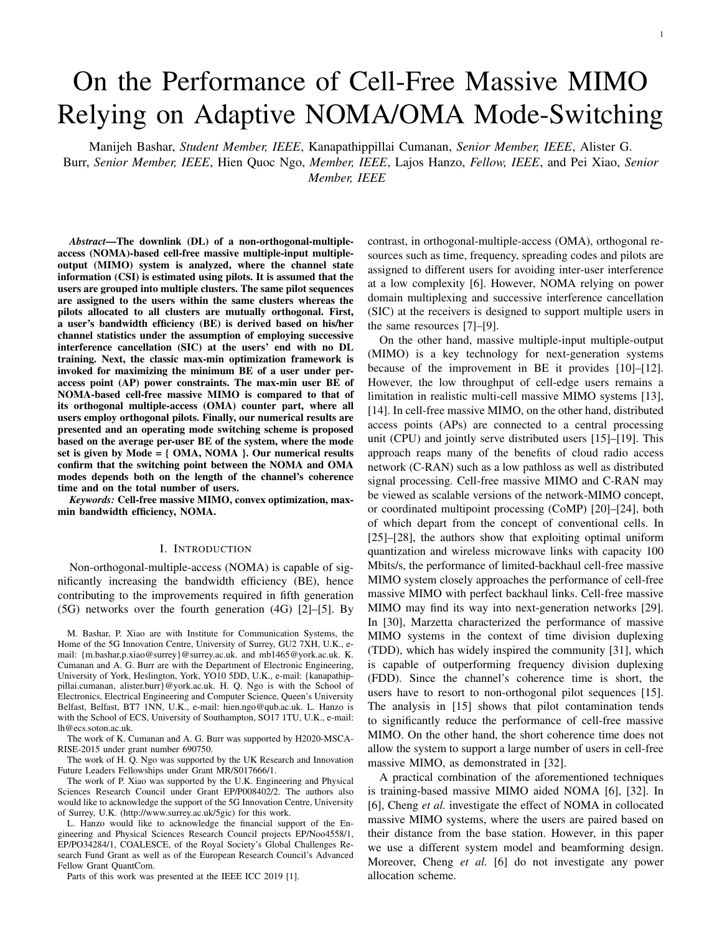where

$$
I_1 = E \underbrace{\mathbf{g}}_{\mathbf{y}} \underbrace{\mathbf{g}_{\text{mik}}}_{q_{\text{mik}}} \underbrace{P_{\text{p}} \underbrace{\mathbf{g}}_{i=1}}_{i=1} \underbrace{\mathbf{g}_{\text{mli}}}_{q_{\text{mli}} + W_{\text{p;m}}}_{i \text{ lk}} + \underbrace{\mathbf{g}}_{\mathbf{y}} \underbrace{\mathbf{g}}_{i,k} \underbrace{\mathbf{g}}_{2} \underbrace{\mathbf{g}}_{i \text{ k}}.
$$

where  $1 = p p c_{\text{m}}^2 N_1^3 N + 1^{\circ} \frac{2}{\text{m}} k$ ,  $2 = N \text{m} k$  m  $Nc_{\text{ml}}^2$  mlk  $N$  p  $p_{\text{ml}}^2$   $\frac{2}{m!}$  and  $\frac{2}{3}$  =  $Nc_{\text{ml}}^2$  mlk. Hence,  $E \int |BU_{lk}|^2 = dN$  M main mlk mlk ml: Next, E  $JIUI_{lk0}|^2$  is calculated as follows:



where the third equality in (40) is due to the fact that for two independent random variables *X* and *Y* and  $E f X q = 0$ , we have  $E_j X + Y^2 = E_j X^2 + E_j Y^2$  [15]. Since  $\tilde{w}_{m1k} =$  $\bigcup_{k=1}^{H} W_{p;m}$  is independent from the term **g**<sub>mlk</sub>, the term *A* in (40) immediately is given by  $A = N \bigcup_{m=1}^{M} M_{m=1}^{M}$  mlk<sup>0</sup>*c*<sup>2</sup><sub>ml</sub> mlk: The term *R* in (40) can be obtained as term  $B$  in (40) can be obtained as



The first term in (41) is given by



The second term in (41) can be obtained as



Finally, we obtain

$$
E f j I U I_{lk^0} j^2 g = N d \underset{m=1}{\underbrace{\bigoplus_{m=1}^{m} m k^0}} m I_k^{\underbrace{m} m k} m I_k
$$
  
+  $N^2 d \underset{m=1}{\underbrace{\bigoplus_{m} m k^0}} m I \underset{i=1}{\underbrace{\bigoplus_{m} m k}} \qquad (44)$ 

In the next step, we calculate the term  $E$  jICI<sub> $\sqrt{v_k}$  $\approx$  as follows:</sub>

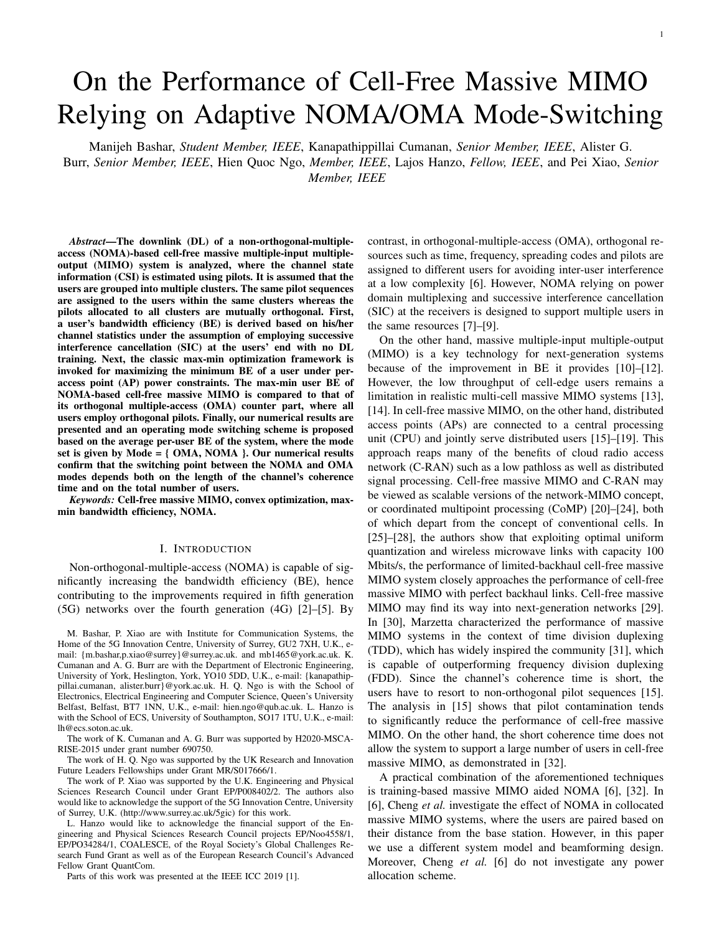where the term *E* is obtained by  $E = N \frac{M}{m-1} m l^0 k^0 C_{m l^0}^2 m k^2$ and the term *F* can be calculated as

$$
F = \frac{p - p}{pN} \text{ m}^{10}k^{0}Cm^{10} \text{ m}^{1k} \text{ m}^{10}k^{0} \text{ m}^{1k}
$$
  
\n
$$
= N \text{ m}^{10}k^{0} \text{ m}^{1k} \text{ m}^{10} \text{ N} \text{ m}^{10}k^{0}Cm^{2}m^{10} \text{ m}^{1k}
$$
  
\n
$$
= N \text{ m}^{10}k^{0} \text{ m}^{1k} \text{ m}^{10} \text{ m}^{10} \text{ m}^{10}k^{0}Cm^{2}m^{10} \text{ m}^{1k}
$$
 (46)

Finally, we have

$$
E \quad jICI_{l^0k^0}j^2 = N \quad d \qquad \text{m1}^{l^0k^0} \quad m1k \quad m1^0 \qquad (47)
$$

Next, the term  $E$  jISIC<sub>lk<sup> $\varnothing$ </sup> is obtained as follows:</sub>

$$
E \quad \text{jISIC}_{\text{IK}}^{\text{in}} = \begin{array}{c} \text{sum}_{k=1}^{3} \text{Res}_{k=1} & \text{sum}_{k=1}^{2} \\ \text{sum}_{k=1}^{3} \text{Res}_{k=1} & \text{sum}_{k=1}^{2} \\ \text{sum}_{k=1}^{3} \text{Res}_{k=1} & \text{sum}_{k=1}^{3} \\ \text{sum}_{k=1}^{3} \text{Res}_{k=1} & \text{sum}_{k=1}^{3} \text{Res}_{k=1} & \text{sum}_{k=1}^{3} \end{array} \tag{48}
$$

where the term  $I_1$  is obtained by

$$
I_1 = N^2 \bigotimes_{m=1}^{\infty} \mathsf{D}_{\frac{m}{1-m}} \prod_{i=1}^{\infty} \frac{1}{m} + N \bigotimes_{m=1}^{\infty} \frac{1}{m} \mathsf{N} \bigotimes_{m \in \mathbb{N}} (49)
$$

and

$$
I_2 = \sum_{m=1}^{\infty} p \frac{1}{m!k^{\omega}} E_{cm} \frac{1}{g_{m1k}} \frac{1}{g_{m2k}} \frac{1}{g_{m1k}} \frac{1}{g_{m1k}} \frac{1}{g_{m1k}} \frac{1}{g_{m1k}}
$$
  

$$
N \sum_{m=1}^{\infty} p \frac{1}{g_{m1k}} \frac{1}{g_{m1k}} \frac{1}{g_{m1k}} \frac{1}{g_{m1k}} \frac{1}{g_{m1k}} \frac{1}{g_{m1k}} \tag{50}
$$

Using  $(48)$ ,  $(49)$  and  $(50)$ , we have

$$
E \quad \text{jISIC}_{lk} \text{m} \text{j}^2 = N \quad \text{d} \quad \text{m} \quad \text{m} \quad \text{m} \quad \text{m} \tag{51}
$$

This completes the proof of Theorem 1.

# APPENDIX B: PROOF OF THEOREM 3

The desired signal for the *k*th user in the *l*th cluster can be derived as follows



where in step  $\frac{1}{a^{\circ}}$ , we use the analysis in [35]. Moreover, note that using [51, Corollary 1] we have:

$$
mI = \int_{0}^{1} \sum_{i=1}^{n} \mathbf{S} \mathbf{R} \mathbf{G} \mathbf{H}
$$

where  $\mathfrak{S}_i = N p p mli \mathfrak{i}$  *i K* and  $\mathfrak{S}_{K+1} = N$ . For the case of  $K = 2$ , the term  $\epsilon$  m<sub>l</sub> is given in (21). Hence, we have  $|DS_{lk}|^2 = d p p^2 \frac{M}{m=1}$  $p_{\frac{m!k-m!k}{m!}}$  $2 \cdot$  Next, the term  $EfjBU_kj^2q$  is calculated as follows:

$$
E \underset{m=1}{\overset{\text{B}}{\text{U}_{lk}}}^2 = \underset{d}{\overset{d}{\text{E}}}^{\text{B}} \underset{m1k}{\overset{d}{\text{U}_{ml}}}^2 = \underset{d}{\overset{d}{\text{U}_{ml}}}^{\text{M}} \underset{d}{\overset{f_{ml}}{\text{U}_{ml}}}^2 = \underset{d}{\overset{f_{ml}}{\text{U}_{ml}}}^{\text{M}} \underset{d}{\overset{f_{ml}}{\text{U}_{ml}}}^2 = \underset{d}{\overset{f_{ml}}{\text{U}_{ml}}}^{\text{M}} \underset{d}{\overset{f_{ml}}{\text{U}_{ml}}}^2 = \underset{d}{\overset{f_{ml}}{\text{U}_{ml}}}^{\text{M}} \underset{d}{\overset{f_{ml}}{\text{U}_{ml}}^T}} = \underset{d}{\overset{f_{ml}}{\text{U}_{nl}}^T}}^{\text{M}} \underset{d}{\overset{f_{ml}}{\text{U}_{nl}}^T}}^{\text{M}} = \underset{d}{\overset{d}{\text{U}_{nl}}}^{\text{M}} \underset{d}{\overset{f_{ml}}{\text{U}_{nl}}}^T} \tag{54}
$$

where

n

$$
I_3 = \mathbb{E} \sum_{i=1}^{3} \mathbf{g}_{m1k}^T \frac{\hat{\mathbf{f}}_{m1}}{j! \hat{\mathbf{f}}_{m1} j!} \sum_{i=1}^{2} \mathbf{g} = \mathbb{E} \ j! \mathbf{g}_{m1k} j!^2 = N \ \text{m1k}; \tag{55}
$$

$$
I_4 = \frac{p}{p} \frac{p}{p} N \sum_{m=1}^{\infty} \frac{p}{m!} \frac{mk}{m!} \tag{56}
$$

As a result, we have

E 
$$
jBU_{lk}j^2 = N
$$
   
  $m+k$   $mlk$   $N^2$  p p  $mlk$   $mli$  (57)

Next,  $E$  jIUI<sub>Ik<sup>0</sup></sub> $j^2$  is calculated as follows:

$$
E\left[\text{HUI}_{lk^{0}}\right]^{2}g = dE \sum_{m=1}^{g} \sum_{m=1}^{\infty} \frac{\hat{f}_{ml}}{\sum_{m|k^{0}}^{\infty}g_{mlk}^{T}} \frac{\hat{f}_{ml}}{\text{j}\hat{f}_{ml}\text{j}\hat{f}_{ml}\text{j}\hat{f}_{ml}} \sum_{m=1}^{2g} \sum_{d=1}^{\infty} \sum_{m=1}^{\infty} \sum_{m=1}^{\infty} \frac{\hat{f}_{ml}}{\sum_{m|k^{0}}^{\infty}g_{mlk}^{T}} \frac{\hat{f}_{ml}}{\text{j}\hat{f}_{ml}\text{j}\hat{f}_{ml}\text{j}\hat{f}_{ml}\text{j}\hat{f}_{ml}\text{j}\hat{f}_{ml}} \sum_{m=1}^{\infty} \sum_{m=1}^{\infty} \sum_{n=1}^{\infty} \frac{\hat{f}_{ml}}{\sum_{m=1}^{\infty}g_{mlk^{0}}^{\infty}} \frac{\text{d}\hat{f}_{ml}}{\text{d}\hat{f}_{ml}} \sum_{m=1}^{\infty} \sum_{m=1}^{\infty} \frac{\hat{f}_{ml}}{\sum_{m=1}^{\infty}g_{mlk^{0}}^{\infty}} \frac{\text{d}\hat{f}_{ml}}{\text{d}\hat{f}_{ml}\text{j}\hat{f}_{ml}\text{j}\hat{f}_{ml}\text{k}\hat{f}_{ml}} \sum_{m=1}^{\infty} \sum_{m=1}^{\infty} \frac{\hat{f}_{ml}}{\sum_{m=1}^{\infty}g_{mlk^{0}}^{\infty}} \frac{\text{d}\hat{f}_{ml}}{\text{k}\hat{f}_{ml}\text{k}\hat{f}_{ml}\text{k}\hat{f}_{ml}\text{k}\hat{f}_{ml}\text{k}\hat{f}_{ml}\text{k}\hat{f}_{ml}\text{k}\hat{f}_{ml}\text{k}\hat{f}_{ml}\text{k}\hat{f}_{ml}\text{k}\hat{f}_{ml}\text{k}\hat{f}_{ml}\text{k}\hat{f}_{ml}\text{k}\hat{f}_{ml}\text{k}\hat{f}_{ml}\text{k}\hat{f}_{ml}\text{k}\hat{f}_{ml}\text{k}\hat{f}_{ml}\text{k}\hat{f}_{ml}\text{k}\hat{f}_{ml}\text{k}\hat{f}_{ml}\text{k}\hat{f}_{ml}\text{k}\hat{f}_{ml}\text{k}\hat{f}_{ml}\text{k}\hat{f}_{ml}\text{k}\hat{f}_{ml}\text{k}\hat{f}_{ml}\text{k}\hat{f}_{
$$

Next, we calculate the term  $E$  jICI<sub> $[0k^0]^2$ </sub> as follows:

$$
E jICI_{l^{0}k^{0}}j^{2} = E \sum_{m=1}^{8} m l^{0}k^{0}g_{m1k}^{T} \frac{\hat{f}_{m1^{0}}}{j\hat{f}_{m1^{0}}j j} \sum_{m=1}^{2} g_{m1} \sum_{m=1}^{2} m m l^{0}k^{0}g_{m1k}^{T} \frac{\hat{f}_{m1^{0}}}{j\hat{f}_{m1^{0}}j j} \sum_{m=1}^{2} g_{m1} \sum_{m=1}^{2} m m l^{0}k^{0} \frac{\hat{f}_{m1^{0}}}{j\hat{f}_{m1^{0}}j j} \frac{\hat{f}_{m1^{0}}}{j\hat{f}_{m1^{0}}j j}
$$
\n
$$
= E \sum_{m=1}^{2} m \sum_{m=1}^{2} m l^{0}k^{0} \frac{\hat{f}_{m1^{0}}}{m l^{0}k^{0}} \frac{\hat{f}_{m1^{0}}}{j\hat{f}_{m1^{0}}j j} g_{m1k}^{T} \frac{\hat{f}_{n1^{0}}}{j\hat{f}_{n1^{0}}j j}
$$
\n
$$
= N \sum_{m=1}^{2} N \sum_{m=1}^{2} m l^{0}k^{0} m1k;
$$
\n(59)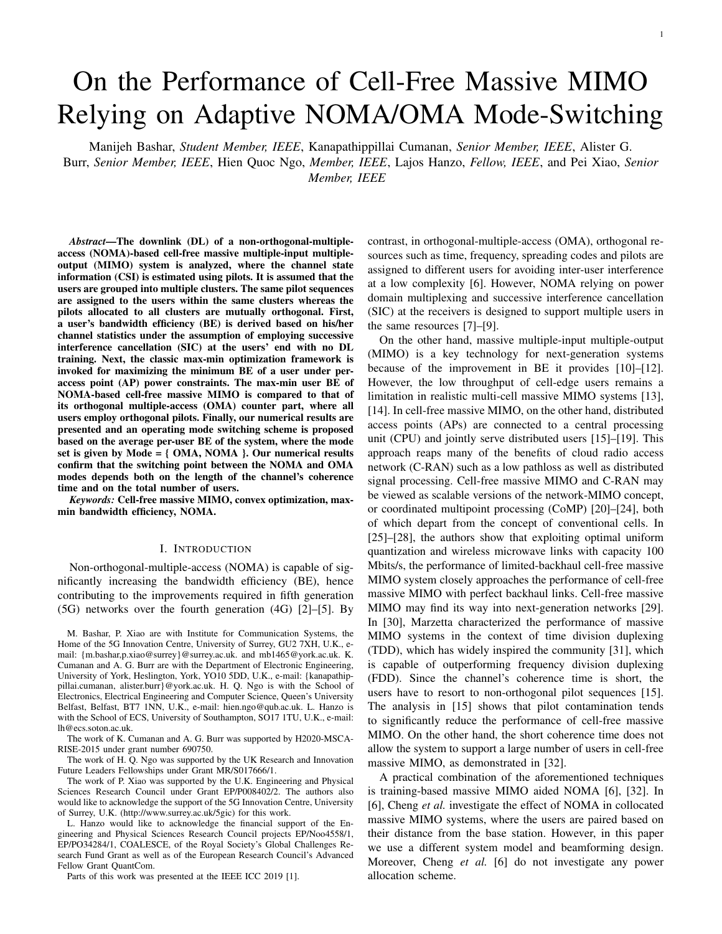where step  $\frac{1}{b^{\circ}}$  comes from the following fact:

$$
\begin{array}{ll}\n\mathbf{E} & \mathbf{g}_{m1k}^{\mathsf{T}} \frac{\hat{\mathbf{f}}_{m1^{0}}}{j! \hat{\mathbf{f}}_{m1^{0}}^{j}!} \mathbf{g}_{n1k}^{\mathsf{T}} \frac{\hat{\mathbf{f}}_{n1^{0}}}{k! \hat{\mathbf{f}}_{n1^{0}}^{j}!} \\
\mathbf{E} & \mathbf{g}_{m1k}^{\mathsf{T}} \frac{\hat{\mathbf{f}}_{m1^{0}}}{j! \hat{\mathbf{f}}_{m1^{0}}^{j}!} & \mathbf{E} & \mathbf{g}_{n1k}^{\mathsf{T}} \frac{\hat{\mathbf{f}}_{n1^{0}}}{j! \hat{\mathbf{f}}_{n1^{0}}^{j}!} \\
\end{array} ; \tag{60}
$$

and

 $\mathbf{E} \mathbf{g}_{\text{m1k}}^{\text{T}} \hat{\mathbf{f}}_{\text{m1}}^{\text{d}} = c_{\text{m1}} \mathbf{g}_{\text{k0}}^{\text{T}} \mathbf{g}_{\text{m1k}}^{\text{T}}$  $p \frac{R}{p} \frac{R}{p-1} g_{m1^{0}i} + W_{p;m}$  l<sup>o</sup>k<sup>0</sup> 0: In the following, we calculate  $\mathbb{E} \left[ \text{ISIC}_{\vert \mathbf{k}^{\mathfrak{A}}}\right]^2$ ;

$$
E \quad \text{JISIC}_{I k^{(0)}}{}^{2} = d \sum_{i=1}^{8} \sum_{m=1}^{\infty} p \frac{\sum_{mI k^{(0)}}^{2} \mathbf{g}_{mI k} \frac{\hat{\mathbf{f}}_{mI}}{\mathbf{j} \hat{\mathbf{f}}_{mI \hat{\mathbf{j}}j}}}{\sum_{i=1}^{I_{5}} \sum_{mI k^{(0)}}^{2} \mathbf{g}_{mI k} \frac{\mathbf{f}_{mI}}{\mathbf{j} \hat{\mathbf{f}}_{mI \hat{\mathbf{j}}j}}}{\sum_{i=1}^{I_{6}} \sum_{i=1}^{I_{6}} \sum_{i=1}^{I_{6}} \mathbf{1}}
$$

where  $I_5 = N^2 p d M M = M$  $p_{\frac{m k^{\omega} n k^{\omega}}{m k^{\omega}}}$  mlk nlk  $\frac{m}{m}$  +  $N$ <sup>IM</sup> m=1 mlk<sup>o0</sup> mlk &  $I_6$  =  $\binom{M}{m=1}$  $N$   $\begin{bmatrix} \mathbb{N} & \mathbb{N} \\ \mathbb{N} & \mathbb{N} \\ \mathbb{N} & \mathbb{N} \end{bmatrix}$  mlk<sup>o</sup>  $N$  mlko  $I_6 = \begin{bmatrix} \mathbb{N} & \mathbb{N} \\ \mathbb{N} & \mathbb{N} \\ \mathbb{N} & \mathbb{N} \end{bmatrix}$  mlko  $\begin{bmatrix} \mathbb{N} & \mathbb{N} \\ \mathbb{N} & \mathbb{N} \\ \mathbb{N} & \mathbb{N} \end{bmatrix}$ . Finally, we

$$
E jISIC_{lk} \omega j^{2} = N^{2} p d \sum_{m=1}^{N} \frac{1}{2} \omega k^{m} \frac{1}{2} k^{m} \frac{1}{2} k^{m} \frac{1}{2} k^{m} \frac{1}{2} k^{m} \frac{1}{2} k^{m} \frac{1}{2} k^{m} \frac{1}{2} k^{m} \frac{1}{2} k^{m} \frac{1}{2} k^{m} \frac{1}{2} k^{m} \frac{1}{2} k^{m} \frac{1}{2} k^{m} \frac{1}{2} k^{m} \frac{1}{2} k^{m} \frac{1}{2} k^{m} \frac{1}{2} k^{m} \frac{1}{2} k^{m} \frac{1}{2} k^{m} \frac{1}{2} k^{m} \frac{1}{2} k^{m} \frac{1}{2} k^{m} \frac{1}{2} k^{m} \frac{1}{2} k^{m} \frac{1}{2} k^{m} \frac{1}{2} k^{m} \frac{1}{2} k^{m} \frac{1}{2} k^{m} \frac{1}{2} k^{m} \frac{1}{2} k^{m} \frac{1}{2} k^{m} \frac{1}{2} k^{m} \frac{1}{2} k^{m} \frac{1}{2} k^{m} \frac{1}{2} k^{m} \frac{1}{2} k^{m} \frac{1}{2} k^{m} \frac{1}{2} k^{m} \frac{1}{2} k^{m} \frac{1}{2} k^{m} \frac{1}{2} k^{m} \frac{1}{2} k^{m} \frac{1}{2} k^{m} \frac{1}{2} k^{m} \frac{1}{2} k^{m} \frac{1}{2} k^{m} \frac{1}{2} k^{m} \frac{1}{2} k^{m} \frac{1}{2} k^{m} \frac{1}{2} k^{m} \frac{1}{2} k^{m} \frac{1}{2} k^{m} \frac{1}{2} k^{m} \frac{1}{2} k^{m} \frac{1}{2} k^{m} \frac{1}{2} k^{m} \frac{1}{2} k^{m} \frac{1}{2} k^{m} \frac{1}{2} k^{m} \frac{1}{2} k^{m} \frac{1}{2} k^{m} \frac{1}{2} k^{m} \frac{1}{2} k^{m} \frac{1}{2} k^{m} \frac{1}{2} k^{m} \frac{1}{2} k^{m} \
$$

This completes the proof of Theorem 3.

#### **REFERENCES**

- [1] M. Bashar, K. Cumanan, A. G. Burr, , L. H. H. Q. Ngo, and P. Xiao, "NOMA/OMA mode selection-based cell-free massive MIMO," in *Proc. IEEE ICC*, May 2019, pp. 1–7.
- [2] Y. Liu, Z. Qin, M. Elkashlan, Z. Ding, A. Nallanathan, and L. Hanzo, "Nonorthogonal multiple access for 5G and beyond," *IEEE Trans. Wireless Commun.*, vol. 105, no. 12, pp. 2347–2381, Dec. 2017.
- [3] Y. Liu, H. Xing, C. Pan, A. Nallanathan, M. Elkashlan, and L. Hanzo, "Multiple-antenna-assisted non-orthogonal multiple access," *IEEE Trans. Wireless Commun.*, vol. 25, no. 2, pp. 17–23, Apr. 2018.
- [4] Z. Ding, P. Fan, and H. V. Poor, "Impact of user pairing on 5G nonorthogonal multiple-access downlink transmissions," *IEEE Trans. Veh. Technol.*, vol. 85, no. 5, pp. 6010–6023, Aug. 2016.
- [5] P. Xu and K. Cumanan, "Optimal power allocation scheme for nonorthogonal multiple access with -fairness," *IEEE J. Sel. Areas Commun.*, vol. 35, no. 10, pp. 2357–2369, Oct. 2017.
- [6] H. V. Cheng, E. Björnson, and E. G. Larsson, "Performance analysis of NOMA in training-based multiuser MIMO systems," *IEEE Trans. Wireless Commun.*, vol. 17, no. 1, pp. 372–385, Jan. 2018.
- [7] G. Wunder, P. Jung, M. Kasparick, T. Wild, F. Schaich, Y. Chen, S. T. Brink, I. Gaspar, N. Michailow, A. Festag, L. Mendes, N. Cassiau, D. Ktenas, M. Dryjanski, S. Pietrzyk, B. Eged, P. Vago, and F. Wiedmann, "5GNOW: non-orthogonal, asynchronous waveforms for future mobile applications," *IEEE Commun. Mag.*, vol. 52, no. 2, pp. 97–105, Feb. 2014.
- [8] Z. Ding, Z. Yang, P. Fan, and H. V. Poor, "On the performance of non-orthogonal multiple access in 5G systems with randomly deployed users," *IEEE Signal Process. Lett.*, vol. 21, no. 12, pp. 917–920, Dec. 2014.
- [9] R. Zhang and L. Hanzo, "A unified treatment of superposition coding aided communications: Theory and practice," *IEEE Commun. Surveys Tutorials*, vol. 13, no. 3, pp. 503–520, Mar. 2011.
- [10] F. Boccardi, R. W. Heath, A. Lozano, T. L. Marzetta, and P. Popovski, "Five disruptive technology directions for 5G," *IEEE Commun. Mag.*, vol. 52, no. 2, pp. 74–80, Feb. 2014.
- [11] H. Q. Ngo, E. G. Larsson, and T. L. Marzetta, "Energy and spectral efficiency of very large multiuser MIMO systems," *IEEE Trans. Commun.*, vol. 61, no. 4, pp. 1436–1449, Apr. 2013.
- [12] T. L. Marzetta, E. G. Larsson, H. Yang, and H. Q. Ngo, *Fundamentals of massive MIMO*. Cambridge University Press, 2016.
- [13] Y. Xu, G. Yue, and S. Mao, "User grouping for massive MIMO in FDD systems: New design methods and analysis," *IEEE Trans. Wireless Commun.*, vol. 14, no. 12, pp. 6827–6842, Jul. 2015.
- $=$  [14] M. Bashar, H. Q. Ngo, K. Cumanan, A. G. Burr, D. Maryopi, and E. G. Larsson, "On the performance of backhaul constrained cell-free massive MIMO with linear receivers," in *Proc. IEEE Asilomar*, 2018, pp. 1–6.
- [15] H. Q. Ngo, A. Ashikhmin, H. Yang, E. G. Larsson, and T. L. Marzetta, "Cell-free massive MIMO versus small cells," *IEEE Trans. Wireless Commun.*, vol. 16, no. 3, pp. 1834–1850, Mar. 2017.
- [16] M. Bashar, K. Cumanan, A. G. Burr, M. Debbah, and H. Q. Ngo, "On the uplink max-min SINR of cell-free massive MIMO systems," *IEEE Trans. Wireless Commun.*, pp. 2021–2036, Jan. 2019.
- [17] ——, "Enhanced max-min SINR for uplink cell-free massive MIMO systems," in *Proc. IEEE ICC*, May 2018, pp. 1–6.
- [18] M. Bashar, K. Cumanan, A. Burr, H. Q. Ngo, E. Larsson, and P. Xiao, "On the energy efficiency of limited-backhaul cell-free massive MIMO," in *Proc. IEEE ICC*, May 2019, pp. 1–7.
- [19] M. Bashar, K. Cumanan, A. G. Burr, H. Q. Ngo, E. G. Larsson, and P. Xiao, "Energy efficiency of the cell-free massive MIMO uplink with optimal uniform quantization," *IEEE Trans. Green Commun. and Net.*, pp. 1–18, To appear.
- [20] M. Karakayali, G. Foschini, and R. Valenzuela, "Network coordination for spectrally efficient communications in cellular systems," *IEEE Trans. Wireless Commun. Mag.*, vol. 13, no. 4, pp. 56–61, Aug. 2006.
- [21] E. Björnson, R. Zakhour, D. Gesbert, and B. Ottersten, "Cooperative multicell precoding: rate region characterization and distributed strategies with instantaneous and statistical CSI," *IEEE Trans. Signal Process.*, vol. 58, no. 8, pp. 4298–4310, Aug. 2010.
- [22] A. G. Burr, M. Bashar, and D. Maryopi, "Cooperative access networks: Optimum fronthaul quantization in distributed massive MIMO and cloud RAN," in *Proc. IEEE VTC*, Jun. 2018, pp. 1–7.
- [23] A. Burr, M. Bashar, and D. Maryopi, "Ultra-dense radio access networks for smart cities: Cloud-RAN, Fog-RAN and cell-free Massive MIMO," in *Proc. IEEE PIMRC*, Sep. 2018, pp. 1–5.
- [24] D. Maryopi, M. Bashar, and A. Burr, "On the uplink throughput of zero forcing in cell-free massive MIMO with coarse quantization," *IEEE Trans. Veh. Technol.*, vol. 68, no. 7, pp. 7220–7224, Jul. 2019.
- [25] M. Bashar, K. Cumanan, A. G. Burr, H. Q. Ngo, and M. Debbah, "Cellfree massive MIMO with limited backhaul," in *Proc. IEEE ICC*, May 2018, pp. 1–7.
- [26] M. Bashar, H. Q. Ngo, A. Burr, D. Maryopi, K. Cumanan, and E. G. Larsson, "On the performance of backhaul constrained cell-free massive MIMO with linear receivers," in *Proc. IEEE Asilomar*, Nov. 2018, pp.  $1 - 7$ .
- [27] M. Bashar, K. Cumanan, A. G. Burr, H. Q. Ngo, M. Debbah, and P. Xiao, "Max-min rate of cell-free massive MIMO uplink with optimal uniform quantization," *IEEE Trans. Commun.*, pp. 1–18, To appear.
- [28] M. Bashar, *Cell-free massive MIMO and Millimeter Wave Channel Modelling for 5G and Beyond*. Ph.D. dissertation, University of York, United Kingdom, 2019.
- [29] G. Interdonato, E. Bjornson, H. Q. Ngo, P. Frenger, and E. G. Larsson, "Ubiquitous cell-free massive MIMO communications," *EURASIP J. Wireless Commun. Netw*, pp. 1–19, To appear.
- [30] T. L. Marzetta, "Noncooperative cellular wireless with unlimited numbers of base station antennas," *IEEE Trans. Commun.*, vol. 9, no. 11, pp. 3590–3600, Nov. 2010.
- [31] A. Ashikhmin, T. L. Marzetta, and L. Li, "Interference reduction in multi-cell massive MIMO systems I: Large-scale fading precoding and decoding," *IEEE Trans. Inf. Theory*, vol. 64, no. 9, pp. 6340–6361, Sep. 2018.
- [32] Y. Li and G. A. A. Baduge, "NOMA-Aided cell-free massive MIMO systems," *IEEE Wireless Commun. Lett.*, pp. 1–4, 2018.
- [33] H. Q. Ngo, L. Tran, T. Q. Duong, M. Matthaiou, and E. G. Larsson, "On the total energy efficiency of cell-free massive MIMO," *IEEE Trans. Green Commun. and Net.*, vol. 2, no. 1, pp. 25–39, Mar. 2017.
- [34] M. Khoshnevisan and J. N. Laneman, "Power allocation in multiantenna wireless systems subject to simultaneous power constraints," *IEEE Trans. Commun.*, vol. 60, no. 12, pp. 3855–3864, Dec. 2012.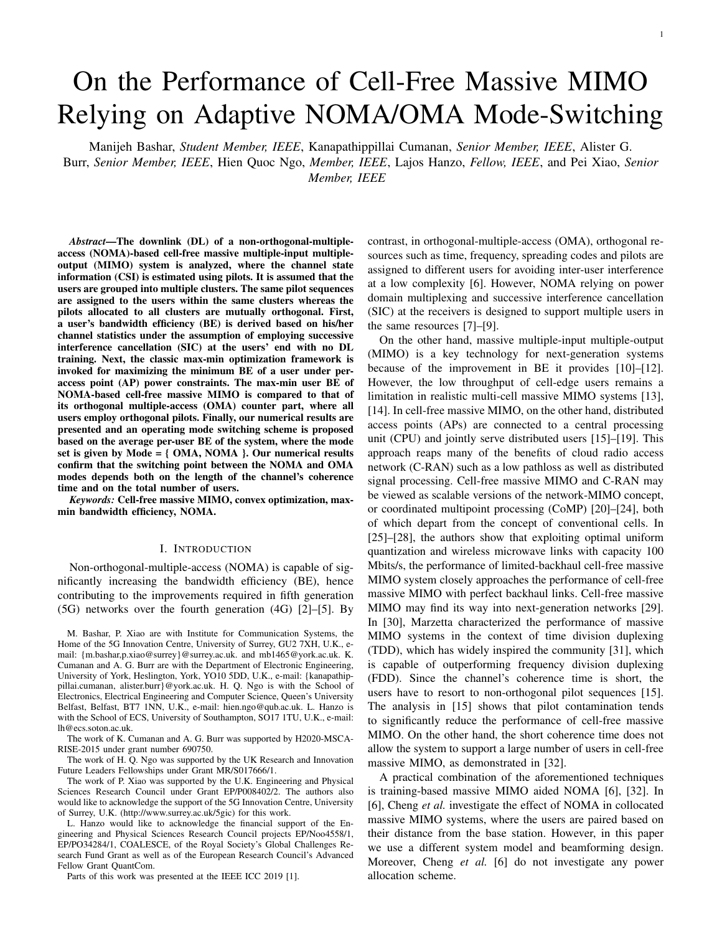- [35] G. Interdonato, H. Q. Ngo, E. G. Larsson, and P. Frenger, "On the performance of cell-free massive MIMO with short-term power constraints," in *Proc. IEEE CAMAD*, Oct. 2016, pp. 1–6.
- [36] K. Senel, H. V. Cheng, E. Björnson, and E. G. Larsson, "What role can NOMA play in massive MIMO?" *IEEE J. Sel. Topics Signal Process.*, pp. 1–16, Feb. 2019.
- [37] S. Ali, E. Hossain, and D. I. Kim, "Non-orthogonal multiple access (NOMA) for downlink multiuser MIMO systems: User clustering, beamforming, and power allocation," *IEEE Access*, vol. 5, pp. 565–577, Mar. 2017.
- [38] B. Kimy, S. Lim, H. Kim, S. Suh, J. Kwun, S. Choi, C. Lee, S. Lee, and D. Hong, "Non-orthogonal multiple access in a downlink multiuser beamforming system," in *Proc. IEEE MILCOM*, Nov. 2013, pp. 1–6.
- [39] Z. Wei, L. Yang, D. W. K. Ng, J. Yuan, and L. Hanzo, "On the performance gain of NOMA over OMA in uplink communication systems," *[online]. Available: https://arxiv.org/abs/1903.01683*, pp. 1– 51, Submitted.
- [40] M. F. Hanif, Z. Ding, T. Ratnarajah, and G. K. Karagiannidis, "A minorization-maximization method for optimizing sum rate in the downlink of non-orthogonal multiple access systems," *IEEE Trans. Signal Process.*, vol. 64, no. 1, pp. 76–88, Jan. 2016.
- [41] S. Boyd and L. Vandenberghe, *Convex Optimization*. Cambridge, UK: Cambridge University Press, 2004.
- [42] M. Bengtsson and B. Ottersten, "Optimal downlink beamforming using semidefinite optimization," in *Proc. IEEE Allerton*, Sep. 1999, pp. 987– 996.
- [43] M. S. Lobo, L. Vandenberghe, S. Boyd, and H. Lebret, "Applications of second-order cone programming," *Linear Algebra Applicat*, pp. 193– 228, Nov. 1998.
- [44] I. Polik and T. Terlaky, *Interior Point Methods for Nonlinear Optimization*. New York, NY, USA: Springer, 2010.
- [45] Z. Ding, L. Dai, R. Schober, and H. V. Poor, "NOMA meets finite resolution analog beamforming in massive MIMO and millimeter-wave networks," *IEEE Commun. Lett.*, vol. 21, no. 8, pp. 1879–1882, Aug. 2017.
- [46] Y. Liu, M. Elkashlan, Z. Ding, and G. K. Karagiannidis, "Fairness of user clustering in MIMO non-orthogonal multiple access systems," *IEEE Commun. Lett.*, vol. 20, no. 7, pp. 1465–1468, Jul. 2016.
- [47] M. S. Ali, H. Tabassum, and E. Hossain, "Dynamic user clustering and power allocation for uplink and downlink non-orthogonal multiple access (NOMA) systems," *IEEE Access*, vol. 4, pp. 6325–6343, Aug. 2016.
- [48] Z. Ding, M. Peng, and H. V. Poor, "Cooperative non-orthogonal multiple access in 5G systems," *IEEE Commun. Lett.*, vol. 18, no. 8, pp. 1462– 1465, Dec. 2015.
- [49] M. Salehi, H. Tabassum, and E. Hossain, "Meta distribution of SIR in large-scale uplink and downlink NOMA networks," *IEEE Trans. Commun.*, pp. 1–17, Dec. 2018.
- [50] L. Yang and L. Hanzo, "Adaptive rate DS-CDMA systems using variable spreading factors," *IEEE Trans. Veh. Technol.*, vol. 53, no. 1, pp. 72–81, Jan. 2004.
- [51] A. Bletsas, H. Shin, and M. Z. Win, "Cooperative communications with outage-optimal opportunistic relaying," *IEEE Trans. Wireless Commun.*, vol. 6, no. 9, pp. 3450–3460, Sep. 2007.



Manijeh Bashar (S'16) received the B.Sc. degree in electrical engineering from the University of Guilan, Iran, in 2009, and the M.Sc. degree in communication systems engineering (with honors) from the Shiraz University of Technology, Iran, in 2013. She received the Ph.D. degree in communications engineering from the University of York, U.K. in 2019. In 2017, she was an Academic Visitor with the Department of Electronics and Nanoengineering, Aalto University, Espoo, Finland, with a Short Term Scientific Mission (STSM) Scholarship Award from

European COST-IC1004 "Cooperative Radio Communications for Green Smart Environments".

She is currently a research fellow at the Institute for Communication Systems, home of 5G Innovation Centre (5GIC) at the University of Surrey. Her current research interests include cooperative communications for 5G networks including distributed Massive MIMO, Cloud-RAN, Fog-RAN, NOMA, deep learning, resource allocation, and also millimetre-wave channel modelling.

She received the K. M. Stott Prize for excellent Ph.D. research in electronics engineering from the University of York, U.K. in 2019. She has been awarded First place (based on jury) in the IEEE WCNC'18 three-minute Ph.D. thesis competition for her research in cell-free Massive MIMO. She has been nominated for Departmental Prize for Excellence in Research in 2019 at the University of Surrey. She has been a member of Technical Program Committees for the IEEE ICC 2020.



Dr. Cumanan (M'10) received the BSc degree with first class honors in electrical and electronic engineering from the University of Peradeniya, Sri Lanka in 2006 and the PhD degree in signal processing for wireless communications from Loughborough University, Loughborough, UK, in 2009.

He is currently a lecturer at the Department of Electronic Engineering, The University of York, UK. From March 2012 to November 2014, he was working as a research associate at School of Electrical and Electronic Engineering, Newcastle University,

UK. Prior to this, he was with the School of Electronic, Electrical and System Engineering, Loughborough University, UK. In 2011, he was an academic visitor at Department of Electrical and Computer Engineering, National University of Singapore, Singapore. From January 2006 to August 2006, he was a teaching assistant with Department of Electrical and Electronic Engineering, University of Peradeniya, Sri Lanka. His research interests include non-orthogonal multiple access (NOMA), cell-free massive MIMO, physical layer security, cognitive radio networks, convex optimization techniques and resource allocation techniques. He has published more than 80 journal articles and conference papers which attracted more than 1200 Google scholar citations. He has been also recently appointed as an associate editor for IEEE Access journal.

Dr. Cumanan was the recipient of an overseas research student award scheme (ORSAS) from Cardiff University, Wales, UK, where he was a research student between September 2006 and July 2007.